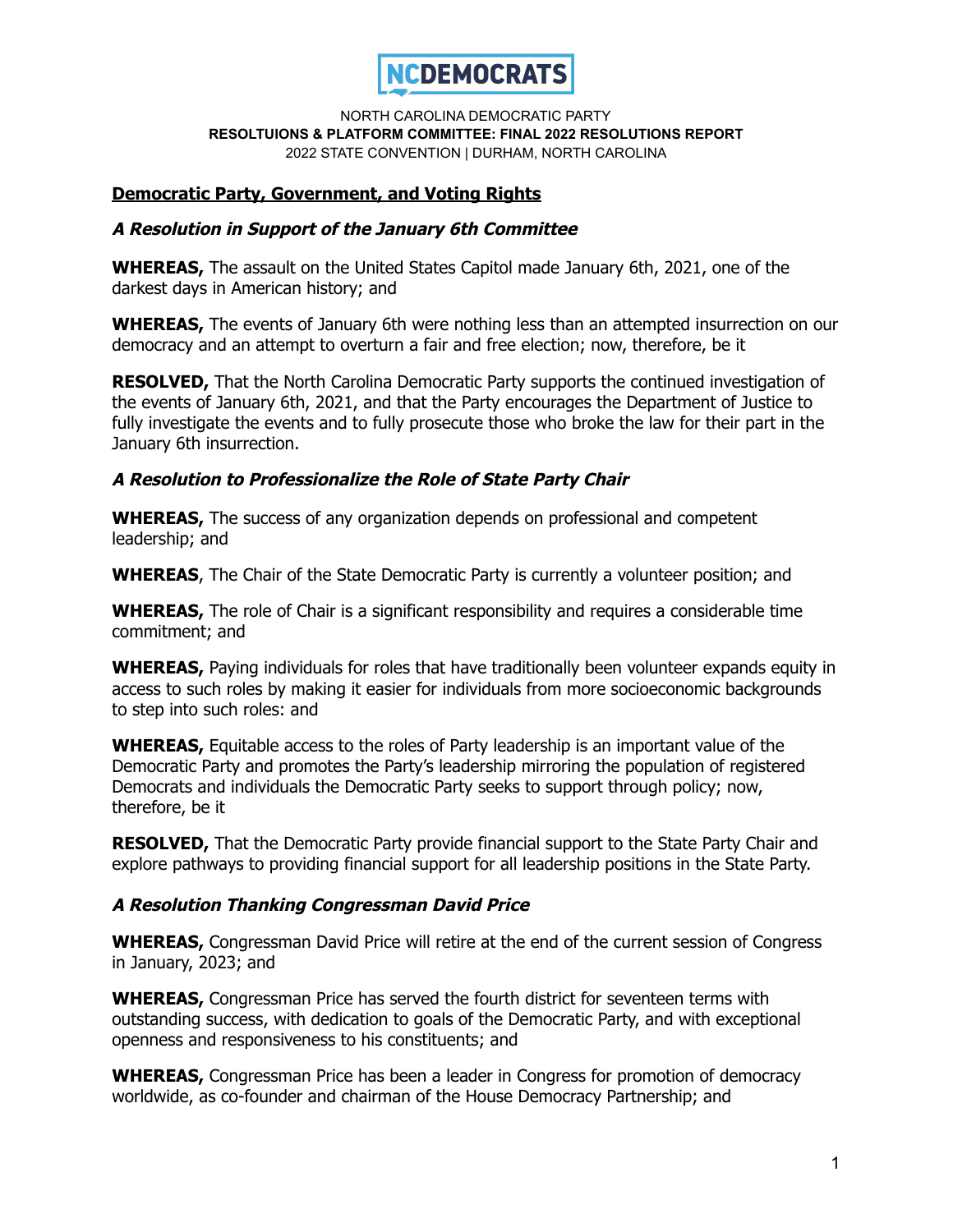

## **Democratic Party, Government, and Voting Rights**

### **A Resolution in Support of the January 6th Committee**

**WHEREAS,** The assault on the United States Capitol made January 6th, 2021, one of the darkest days in American history; and

**WHEREAS,** The events of January 6th were nothing less than an attempted insurrection on our democracy and an attempt to overturn a fair and free election; now, therefore, be it

**RESOLVED,** That the North Carolina Democratic Party supports the continued investigation of the events of January 6th, 2021, and that the Party encourages the Department of Justice to fully investigate the events and to fully prosecute those who broke the law for their part in the January 6th insurrection.

### **A Resolution to Professionalize the Role of State Party Chair**

**WHEREAS,** The success of any organization depends on professional and competent leadership; and

**WHEREAS**, The Chair of the State Democratic Party is currently a volunteer position; and

**WHEREAS,** The role of Chair is a significant responsibility and requires a considerable time commitment; and

**WHEREAS,** Paying individuals for roles that have traditionally been volunteer expands equity in access to such roles by making it easier for individuals from more socioeconomic backgrounds to step into such roles: and

**WHEREAS,** Equitable access to the roles of Party leadership is an important value of the Democratic Party and promotes the Party's leadership mirroring the population of registered Democrats and individuals the Democratic Party seeks to support through policy; now, therefore, be it

**RESOLVED,** That the Democratic Party provide financial support to the State Party Chair and explore pathways to providing financial support for all leadership positions in the State Party.

### **A Resolution Thanking Congressman David Price**

**WHEREAS,** Congressman David Price will retire at the end of the current session of Congress in January, 2023; and

**WHEREAS,** Congressman Price has served the fourth district for seventeen terms with outstanding success, with dedication to goals of the Democratic Party, and with exceptional openness and responsiveness to his constituents; and

**WHEREAS,** Congressman Price has been a leader in Congress for promotion of democracy worldwide, as co-founder and chairman of the House Democracy Partnership; and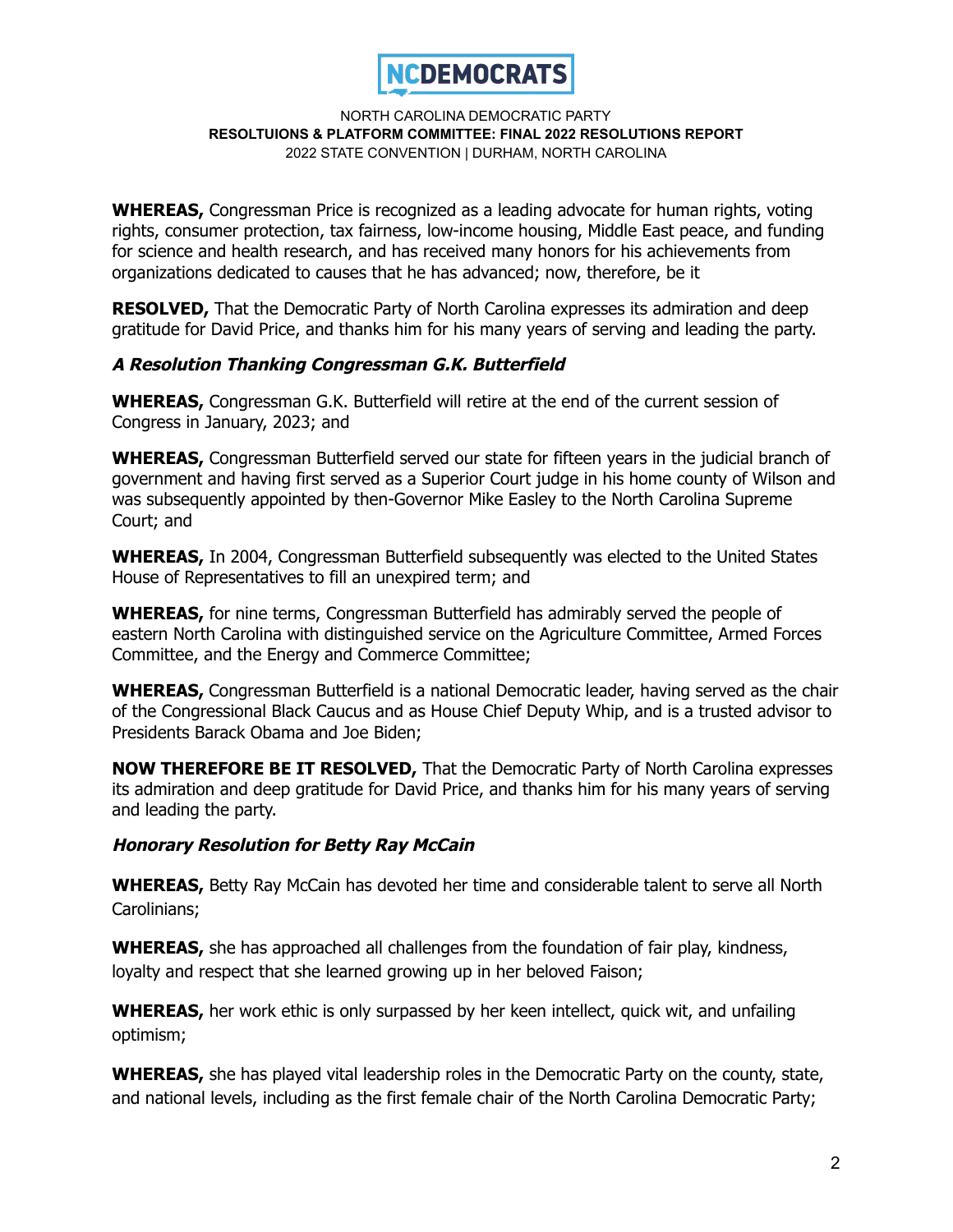

**WHEREAS,** Congressman Price is recognized as a leading advocate for human rights, voting rights, consumer protection, tax fairness, low-income housing, Middle East peace, and funding for science and health research, and has received many honors for his achievements from organizations dedicated to causes that he has advanced; now, therefore, be it

**RESOLVED,** That the Democratic Party of North Carolina expresses its admiration and deep gratitude for David Price, and thanks him for his many years of serving and leading the party.

### **A Resolution Thanking Congressman G.K. Butterfield**

**WHEREAS,** Congressman G.K. Butterfield will retire at the end of the current session of Congress in January, 2023; and

**WHEREAS,** Congressman Butterfield served our state for fifteen years in the judicial branch of government and having first served as a Superior Court judge in his home county of Wilson and was subsequently appointed by then-Governor Mike Easley to the North Carolina Supreme Court; and

**WHEREAS,** In 2004, Congressman Butterfield subsequently was elected to the United States House of Representatives to fill an unexpired term; and

**WHEREAS,** for nine terms, Congressman Butterfield has admirably served the people of eastern North Carolina with distinguished service on the Agriculture Committee, Armed Forces Committee, and the Energy and Commerce Committee;

**WHEREAS,** Congressman Butterfield is a national Democratic leader, having served as the chair of the Congressional Black Caucus and as House Chief Deputy Whip, and is a trusted advisor to Presidents Barack Obama and Joe Biden;

**NOW THEREFORE BE IT RESOLVED,** That the Democratic Party of North Carolina expresses its admiration and deep gratitude for David Price, and thanks him for his many years of serving and leading the party.

### **Honorary Resolution for Betty Ray McCain**

**WHEREAS,** Betty Ray McCain has devoted her time and considerable talent to serve all North Carolinians;

**WHEREAS,** she has approached all challenges from the foundation of fair play, kindness, loyalty and respect that she learned growing up in her beloved Faison;

**WHEREAS,** her work ethic is only surpassed by her keen intellect, quick wit, and unfailing optimism;

**WHEREAS,** she has played vital leadership roles in the Democratic Party on the county, state, and national levels, including as the first female chair of the North Carolina Democratic Party;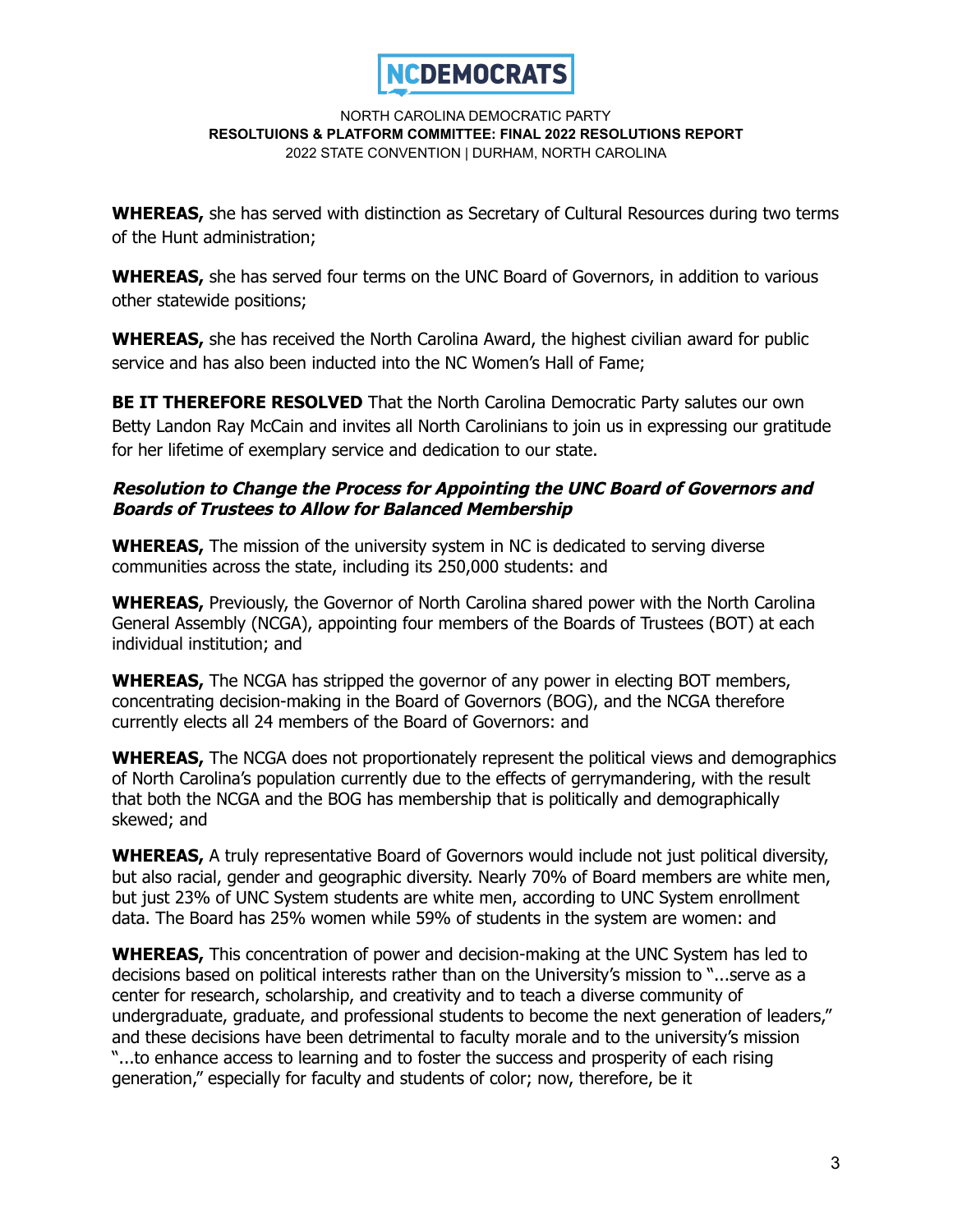

**WHEREAS,** she has served with distinction as Secretary of Cultural Resources during two terms of the Hunt administration;

**WHEREAS,** she has served four terms on the UNC Board of Governors, in addition to various other statewide positions;

**WHEREAS,** she has received the North Carolina Award, the highest civilian award for public service and has also been inducted into the NC Women's Hall of Fame;

**BE IT THEREFORE RESOLVED** That the North Carolina Democratic Party salutes our own Betty Landon Ray McCain and invites all North Carolinians to join us in expressing our gratitude for her lifetime of exemplary service and dedication to our state.

## **Resolution to Change the Process for Appointing the UNC Board of Governors and Boards of Trustees to Allow for Balanced Membership**

**WHEREAS,** The mission of the university system in NC is dedicated to serving diverse communities across the state, including its 250,000 students: and

**WHEREAS,** Previously, the Governor of North Carolina shared power with the North Carolina General Assembly (NCGA), appointing four members of the Boards of Trustees (BOT) at each individual institution; and

**WHEREAS,** The NCGA has stripped the governor of any power in electing BOT members, concentrating decision-making in the Board of Governors (BOG), and the NCGA therefore currently elects all 24 members of the Board of Governors: and

**WHEREAS,** The NCGA does not proportionately represent the political views and demographics of North Carolina's population currently due to the effects of gerrymandering, with the result that both the NCGA and the BOG has membership that is politically and demographically skewed; and

**WHEREAS,** A truly representative Board of Governors would include not just political diversity, but also racial, gender and geographic diversity. Nearly 70% of Board members are white men, but just 23% of UNC System students are white men, according to UNC System [enrollment](https://www.northcarolina.edu/impact/stats-data-reports/interactive-data-dashboards/) [data](https://www.northcarolina.edu/impact/stats-data-reports/interactive-data-dashboards/). The Board has 25% women while 59% of [students](https://www.northcarolina.edu/impact/stats-data-reports/interactive-data-dashboards/) in the system are women: and

**WHEREAS,** This concentration of power and decision-making at the UNC System has led to decisions based on political interests rather than on the University's mission to "...serve as a center for research, scholarship, and creativity and to teach a diverse community of undergraduate, graduate, and professional students to become the next generation of leaders," and these decisions have been detrimental to faculty morale and to the university's mission "...to enhance access to learning and to foster the success and prosperity of each rising generation," especially for faculty and students of color; now, therefore, be it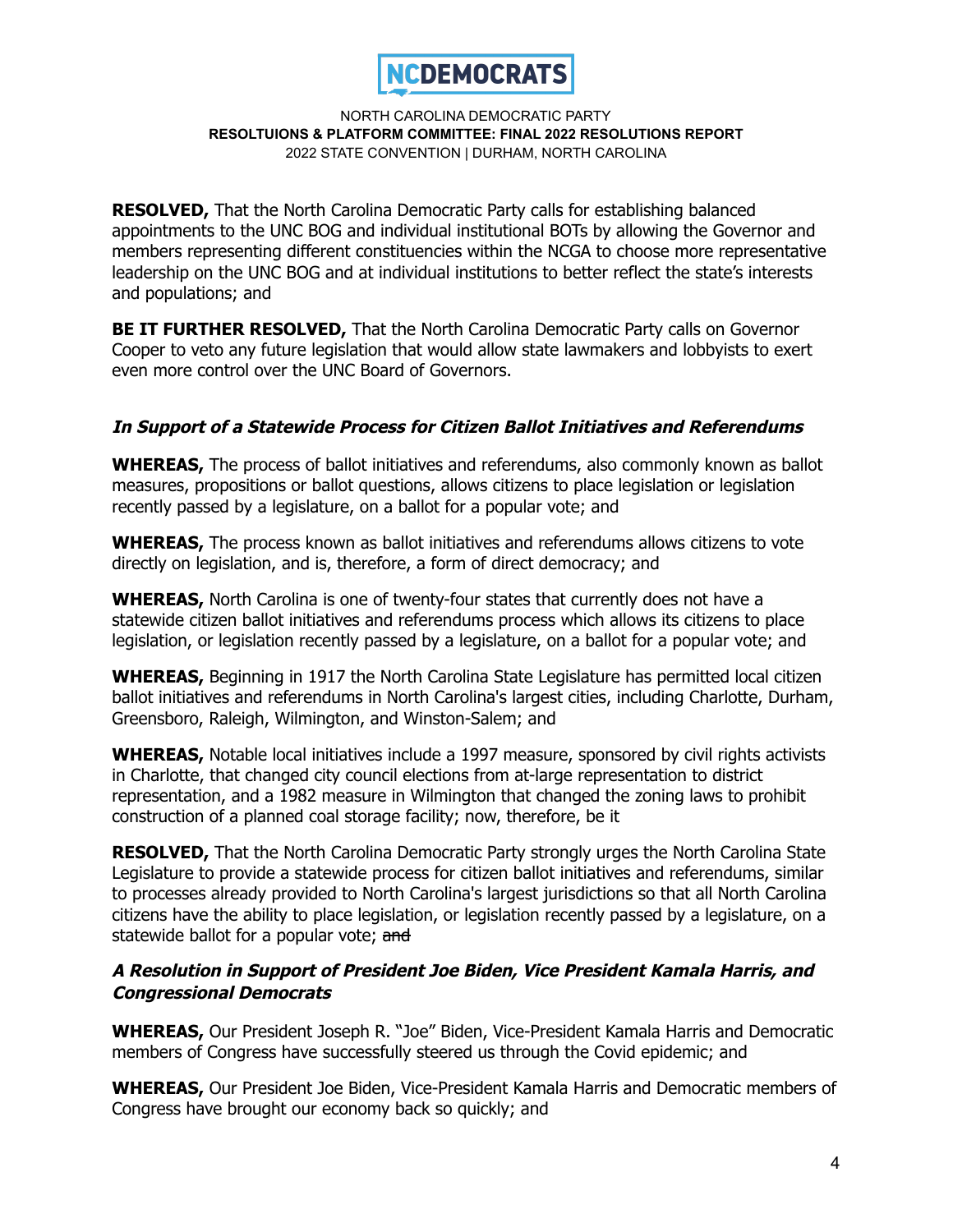

**RESOLVED,** That the North Carolina Democratic Party calls for establishing balanced appointments to the UNC BOG and individual institutional BOTs by allowing the Governor and members representing different constituencies within the NCGA to choose more representative leadership on the UNC BOG and at individual institutions to better reflect the state's interests and populations; and

**BE IT FURTHER RESOLVED,** That the North Carolina Democratic Party calls on Governor Cooper to veto any future legislation that would allow state lawmakers and lobbyists to exert even more control over the UNC Board of Governors.

# **In Support of <sup>a</sup> Statewide Process for Citizen Ballot Initiatives and Referendums**

**WHEREAS,** The process of ballot initiatives and referendums, also commonly known as ballot measures, propositions or ballot questions, allows citizens to place legislation or legislation recently passed by a legislature, on a ballot for a popular vote; and

**WHEREAS,** The process known as ballot initiatives and referendums allows citizens to vote directly on legislation, and is, therefore, a form of direct democracy; and

**WHEREAS,** North Carolina is one of twenty-four states that currently does not have a statewide citizen ballot initiatives and referendums process which allows its citizens to place legislation, or legislation recently passed by a legislature, on a ballot for a popular vote; and

**WHEREAS,** Beginning in 1917 the North Carolina State Legislature has permitted local citizen ballot initiatives and referendums in North Carolina's largest cities, including Charlotte, Durham, Greensboro, Raleigh, Wilmington, and Winston-Salem; and

**WHEREAS,** Notable local initiatives include a 1997 measure, sponsored by civil rights activists in Charlotte, that changed city council elections from at-large representation to district representation, and a 1982 measure in Wilmington that changed the zoning laws to prohibit construction of a planned coal storage facility; now, therefore, be it

**RESOLVED,** That the North Carolina Democratic Party strongly urges the North Carolina State Legislature to provide a statewide process for citizen ballot initiatives and referendums, similar to processes already provided to North Carolina's largest jurisdictions so that all North Carolina citizens have the ability to place legislation, or legislation recently passed by a legislature, on a statewide ballot for a popular vote; and

# **A Resolution in Support of President Joe Biden, Vice President Kamala Harris, and Congressional Democrats**

**WHEREAS,** Our President Joseph R. "Joe" Biden, Vice-President Kamala Harris and Democratic members of Congress have successfully steered us through the Covid epidemic; and

**WHEREAS,** Our President Joe Biden, Vice-President Kamala Harris and Democratic members of Congress have brought our economy back so quickly; and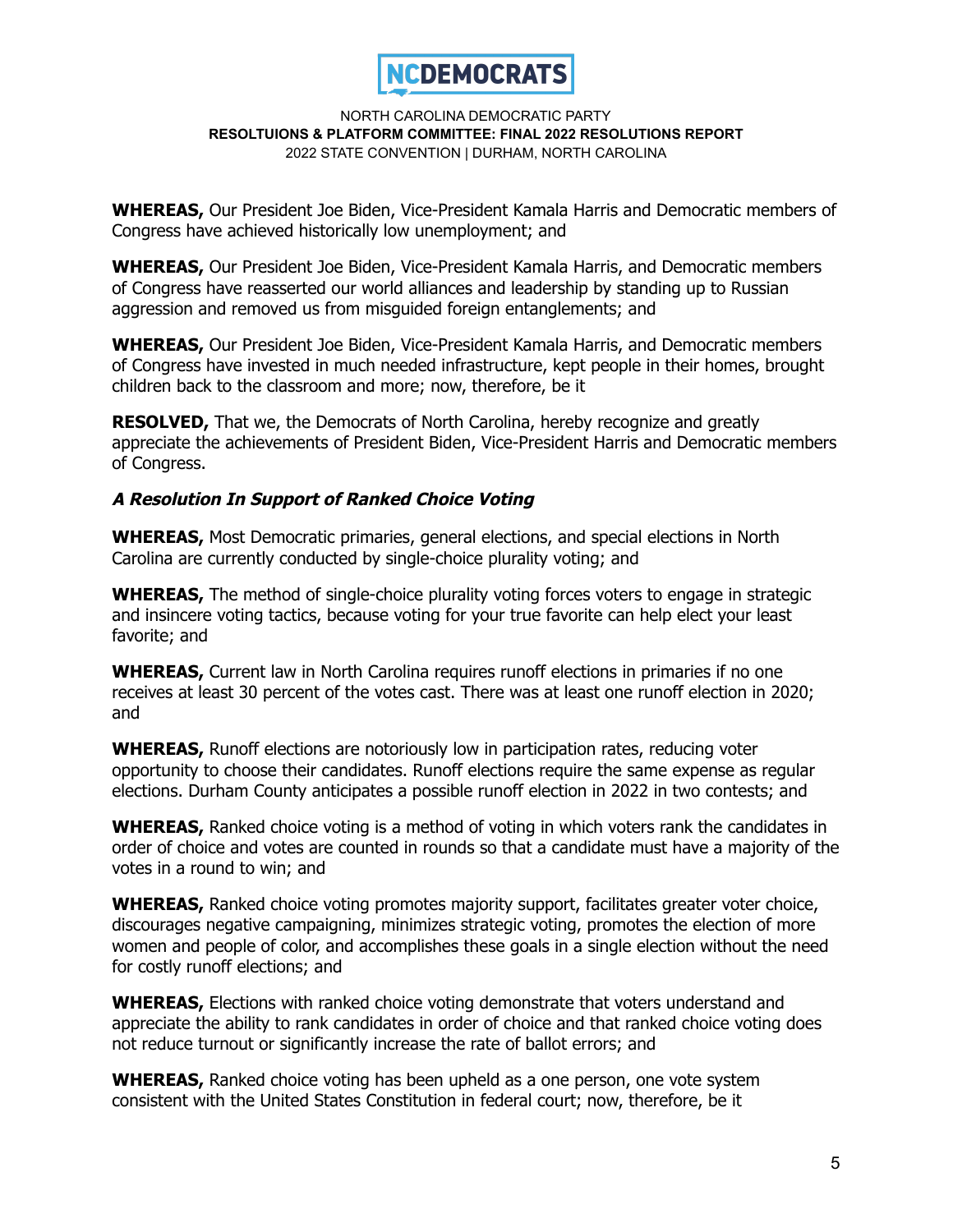

**WHEREAS,** Our President Joe Biden, Vice-President Kamala Harris and Democratic members of Congress have achieved historically low unemployment; and

**WHEREAS,** Our President Joe Biden, Vice-President Kamala Harris, and Democratic members of Congress have reasserted our world alliances and leadership by standing up to Russian aggression and removed us from misguided foreign entanglements; and

**WHEREAS,** Our President Joe Biden, Vice-President Kamala Harris, and Democratic members of Congress have invested in much needed infrastructure, kept people in their homes, brought children back to the classroom and more; now, therefore, be it

**RESOLVED,** That we, the Democrats of North Carolina, hereby recognize and greatly appreciate the achievements of President Biden, Vice-President Harris and Democratic members of Congress.

## **A Resolution In Support of Ranked Choice Voting**

**WHEREAS,** Most Democratic primaries, general elections, and special elections in North Carolina are currently conducted by single-choice plurality voting; and

**WHEREAS,** The method of single-choice plurality voting forces voters to engage in strategic and insincere voting tactics, because voting for your true favorite can help elect your least favorite; and

**WHEREAS,** Current law in North Carolina requires runoff elections in primaries if no one receives at least 30 percent of the votes cast. There was at least one runoff election in 2020; and

**WHEREAS,** Runoff elections are notoriously low in participation rates, reducing voter opportunity to choose their candidates. Runoff elections require the same expense as regular elections. Durham County anticipates a possible runoff election in 2022 in two contests; and

**WHEREAS,** Ranked choice voting is a method of voting in which voters rank the candidates in order of choice and votes are counted in rounds so that a candidate must have a majority of the votes in a round to win; and

**WHEREAS,** Ranked choice voting promotes majority support, facilitates greater voter choice, discourages negative campaigning, minimizes strategic voting, promotes the election of more women and people of color, and accomplishes these goals in a single election without the need for costly runoff elections; and

**WHEREAS,** Elections with ranked choice voting demonstrate that voters understand and appreciate the ability to rank candidates in order of choice and that ranked choice voting does not reduce turnout or significantly increase the rate of ballot errors; and

**WHEREAS,** Ranked choice voting has been upheld as a one person, one vote system consistent with the United States Constitution in federal court; now, therefore, be it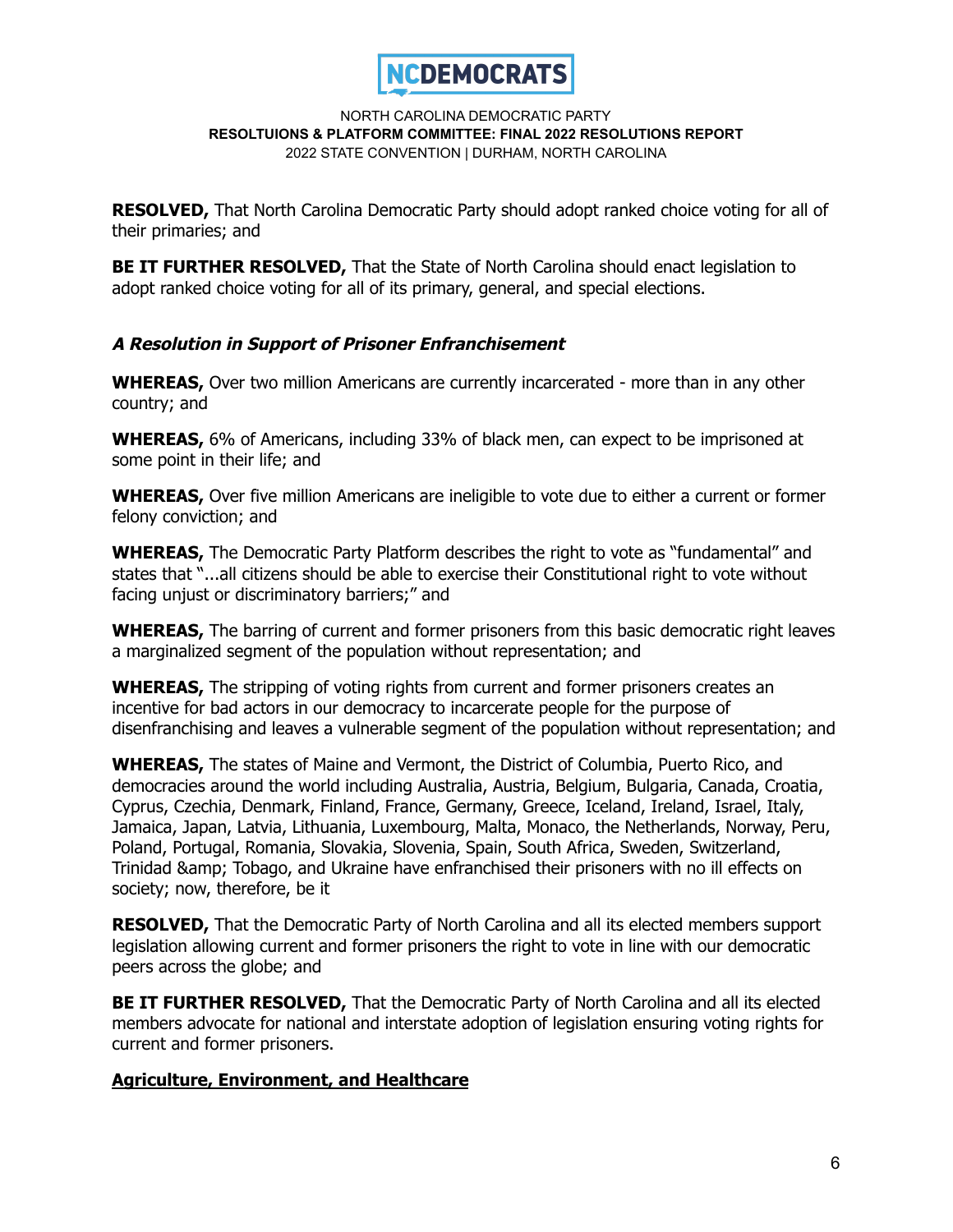

**RESOLVED,** That North Carolina Democratic Party should adopt ranked choice voting for all of their primaries; and

**BE IT FURTHER RESOLVED,** That the State of North Carolina should enact legislation to adopt ranked choice voting for all of its primary, general, and special elections.

## **A Resolution in Support of Prisoner Enfranchisement**

**WHEREAS,** Over two million Americans are currently incarcerated - more than in any other country; and

**WHEREAS,** 6% of Americans, including 33% of black men, can expect to be imprisoned at some point in their life; and

**WHEREAS,** Over five million Americans are ineligible to vote due to either a current or former felony conviction; and

**WHEREAS,** The Democratic Party Platform describes the right to vote as "fundamental" and states that "...all citizens should be able to exercise their Constitutional right to vote without facing unjust or discriminatory barriers;" and

**WHEREAS,** The barring of current and former prisoners from this basic democratic right leaves a marginalized segment of the population without representation; and

**WHEREAS,** The stripping of voting rights from current and former prisoners creates an incentive for bad actors in our democracy to incarcerate people for the purpose of disenfranchising and leaves a vulnerable segment of the population without representation; and

**WHEREAS,** The states of Maine and Vermont, the District of Columbia, Puerto Rico, and democracies around the world including Australia, Austria, Belgium, Bulgaria, Canada, Croatia, Cyprus, Czechia, Denmark, Finland, France, Germany, Greece, Iceland, Ireland, Israel, Italy, Jamaica, Japan, Latvia, Lithuania, Luxembourg, Malta, Monaco, the Netherlands, Norway, Peru, Poland, Portugal, Romania, Slovakia, Slovenia, Spain, South Africa, Sweden, Switzerland, Trinidad & amp; Tobago, and Ukraine have enfranchised their prisoners with no ill effects on society; now, therefore, be it

**RESOLVED,** That the Democratic Party of North Carolina and all its elected members support legislation allowing current and former prisoners the right to vote in line with our democratic peers across the globe; and

**BE IT FURTHER RESOLVED,** That the Democratic Party of North Carolina and all its elected members advocate for national and interstate adoption of legislation ensuring voting rights for current and former prisoners.

### **Agriculture, Environment, and Healthcare**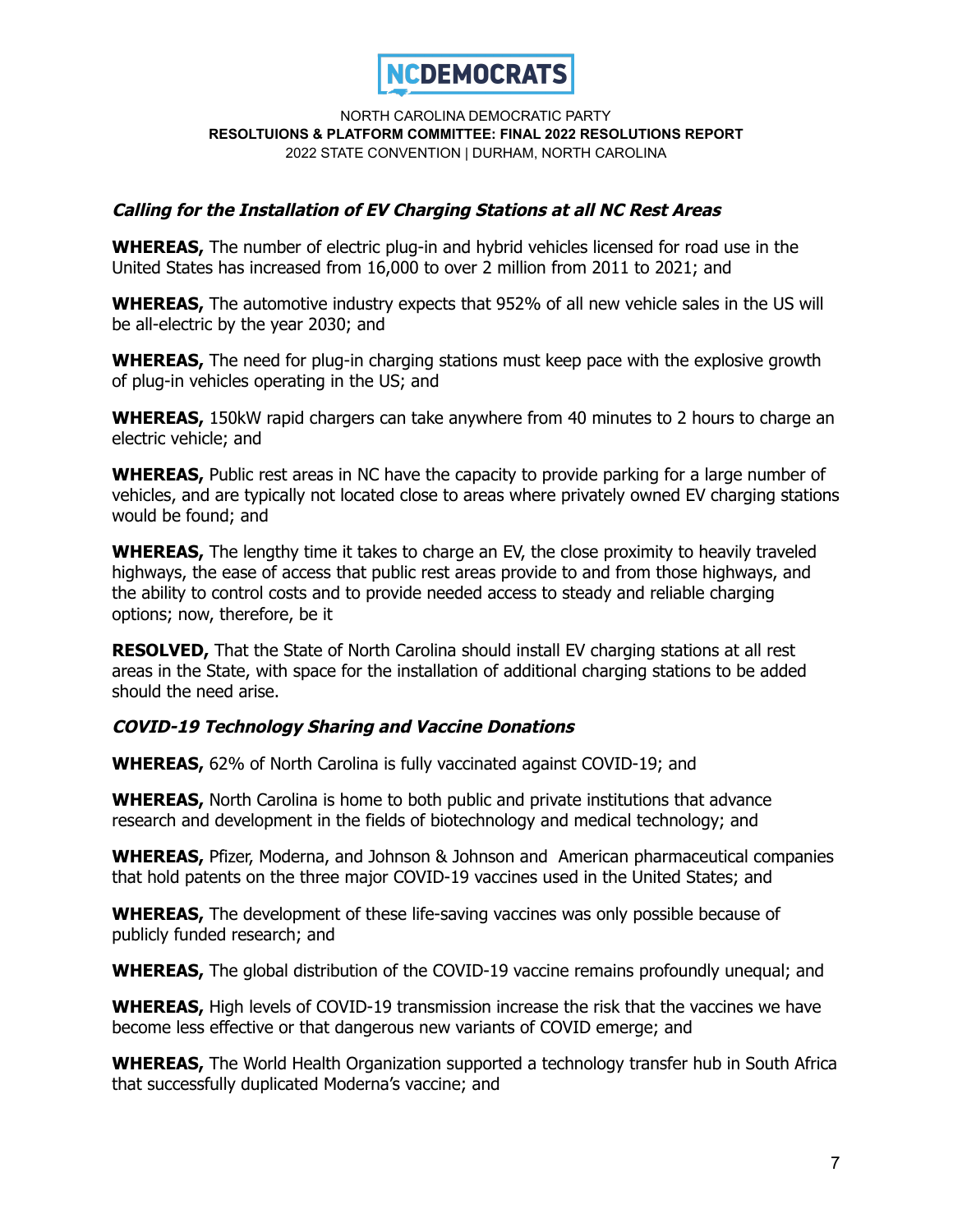

## **Calling for the Installation of EV Charging Stations at all NC Rest Areas**

**WHEREAS,** The number of electric plug-in and hybrid vehicles licensed for road use in the United States has increased from 16,000 to over 2 million from 2011 to 2021; and

**WHEREAS,** The automotive industry expects that 952% of all new vehicle sales in the US will be all-electric by the year 2030; and

**WHEREAS,** The need for plug-in charging stations must keep pace with the explosive growth of plug-in vehicles operating in the US; and

**WHEREAS,** 150kW rapid chargers can take anywhere from 40 minutes to 2 hours to charge an electric vehicle; and

**WHEREAS,** Public rest areas in NC have the capacity to provide parking for a large number of vehicles, and are typically not located close to areas where privately owned EV charging stations would be found; and

**WHEREAS,** The lengthy time it takes to charge an EV, the close proximity to heavily traveled highways, the ease of access that public rest areas provide to and from those highways, and the ability to control costs and to provide needed access to steady and reliable charging options; now, therefore, be it

**RESOLVED,** That the State of North Carolina should install EV charging stations at all rest areas in the State, with space for the installation of additional charging stations to be added should the need arise.

# **COVID-19 Technology Sharing and Vaccine Donations**

**WHEREAS,** 62% of North Carolina is fully vaccinated against COVID-19; and

**WHEREAS,** North Carolina is home to both public and private institutions that advance research and development in the fields of biotechnology and medical technology; and

**WHEREAS,** Pfizer, Moderna, and Johnson & Johnson and American pharmaceutical companies that hold patents on the three major COVID-19 vaccines used in the United States; and

**WHEREAS,** The development of these life-saving vaccines was only possible because of publicly funded research; and

**WHEREAS,** The global distribution of the COVID-19 vaccine remains profoundly unequal; and

**WHEREAS,** High levels of COVID-19 transmission increase the risk that the vaccines we have become less effective or that dangerous new variants of COVID emerge; and

**WHEREAS,** The World Health Organization supported a technology transfer hub in South Africa that successfully duplicated Moderna's vaccine; and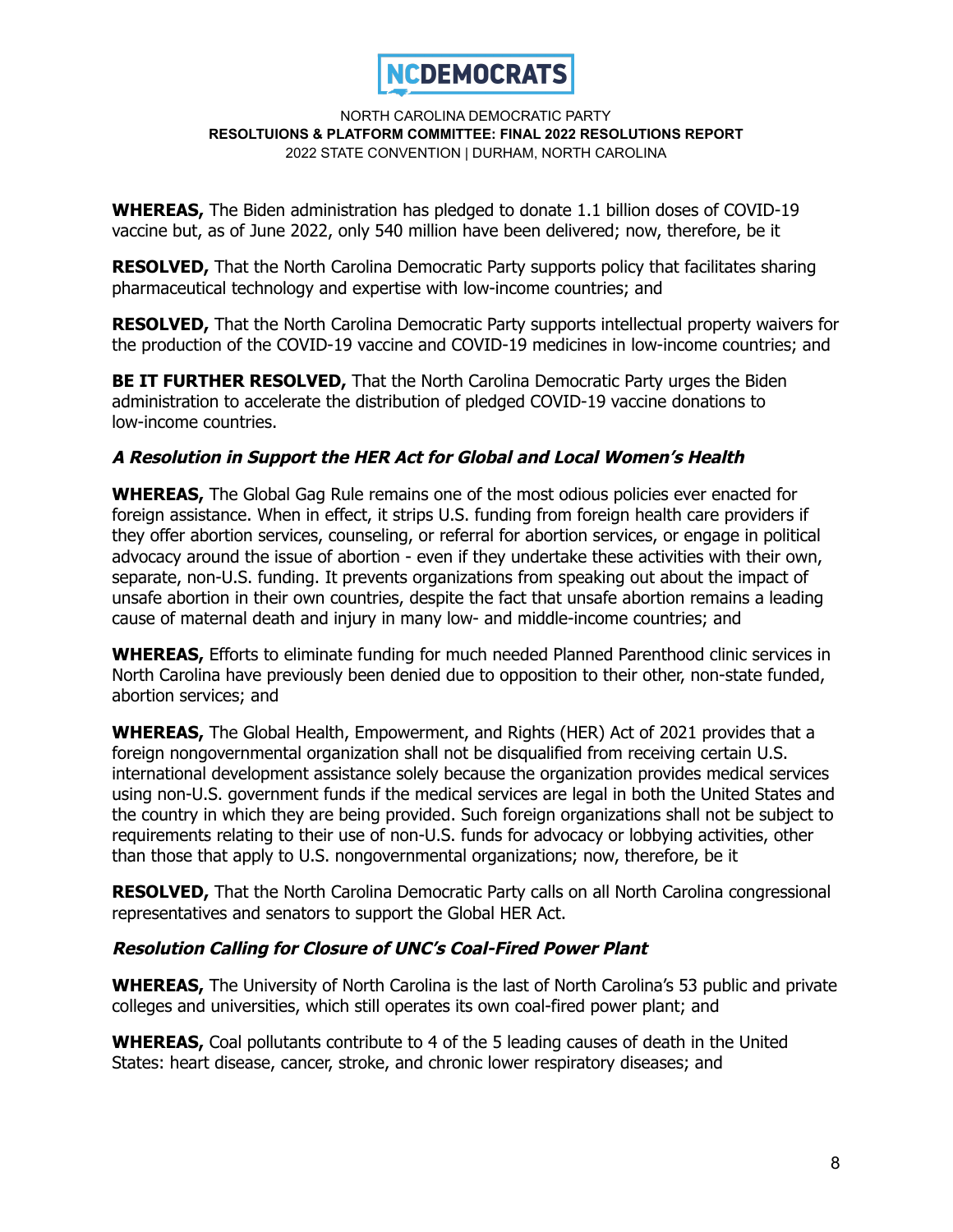

**WHEREAS,** The Biden administration has pledged to donate 1.1 billion doses of COVID-19 vaccine but, as of June 2022, only 540 million have been delivered; now, therefore, be it

**RESOLVED,** That the North Carolina Democratic Party supports policy that facilitates sharing pharmaceutical technology and expertise with low-income countries; and

**RESOLVED,** That the North Carolina Democratic Party supports intellectual property waivers for the production of the COVID-19 vaccine and COVID-19 medicines in low-income countries; and

**BE IT FURTHER RESOLVED,** That the North Carolina Democratic Party urges the Biden administration to accelerate the distribution of pledged COVID-19 vaccine donations to low-income countries.

# **A Resolution in Support the HER Act for Global and Local Women's Health**

**WHEREAS,** The Global Gag Rule remains one of the most odious policies ever enacted for foreign assistance. When in effect, it strips U.S. funding from foreign health care providers if they offer abortion services, counseling, or referral for abortion services, or engage in political advocacy around the issue of abortion - even if they undertake these activities with their own, separate, non-U.S. funding. It prevents organizations from speaking out about the impact of unsafe abortion in their own countries, despite the fact that unsafe abortion remains a leading cause of maternal death and injury in many low- and middle-income countries; and

**WHEREAS,** Efforts to eliminate funding for much needed Planned Parenthood clinic services in North Carolina have previously been denied due to opposition to their other, non-state funded, abortion services; and

**WHEREAS,** The Global Health, Empowerment, and Rights (HER) Act of 2021 provides that a foreign nongovernmental organization shall not be disqualified from receiving certain U.S. international development assistance solely because the organization provides medical services using non-U.S. government funds if the medical services are legal in both the United States and the country in which they are being provided. Such foreign organizations shall not be subject to requirements relating to their use of non-U.S. funds for advocacy or lobbying activities, other than those that apply to U.S. nongovernmental organizations; now, therefore, be it

**RESOLVED,** That the North Carolina Democratic Party calls on all North Carolina congressional representatives and senators to support the Global HER Act.

# **Resolution Calling for Closure of UNC's Coal-Fired Power Plant**

**WHEREAS,** The University of North Carolina is the last of North Carolina's 53 public and private colleges and universities, which still operates its own coal-fired power plant; and

**WHEREAS,** Coal pollutants contribute to 4 of the 5 leading causes of death in the United States: heart disease, cancer, stroke, and chronic lower respiratory diseases; and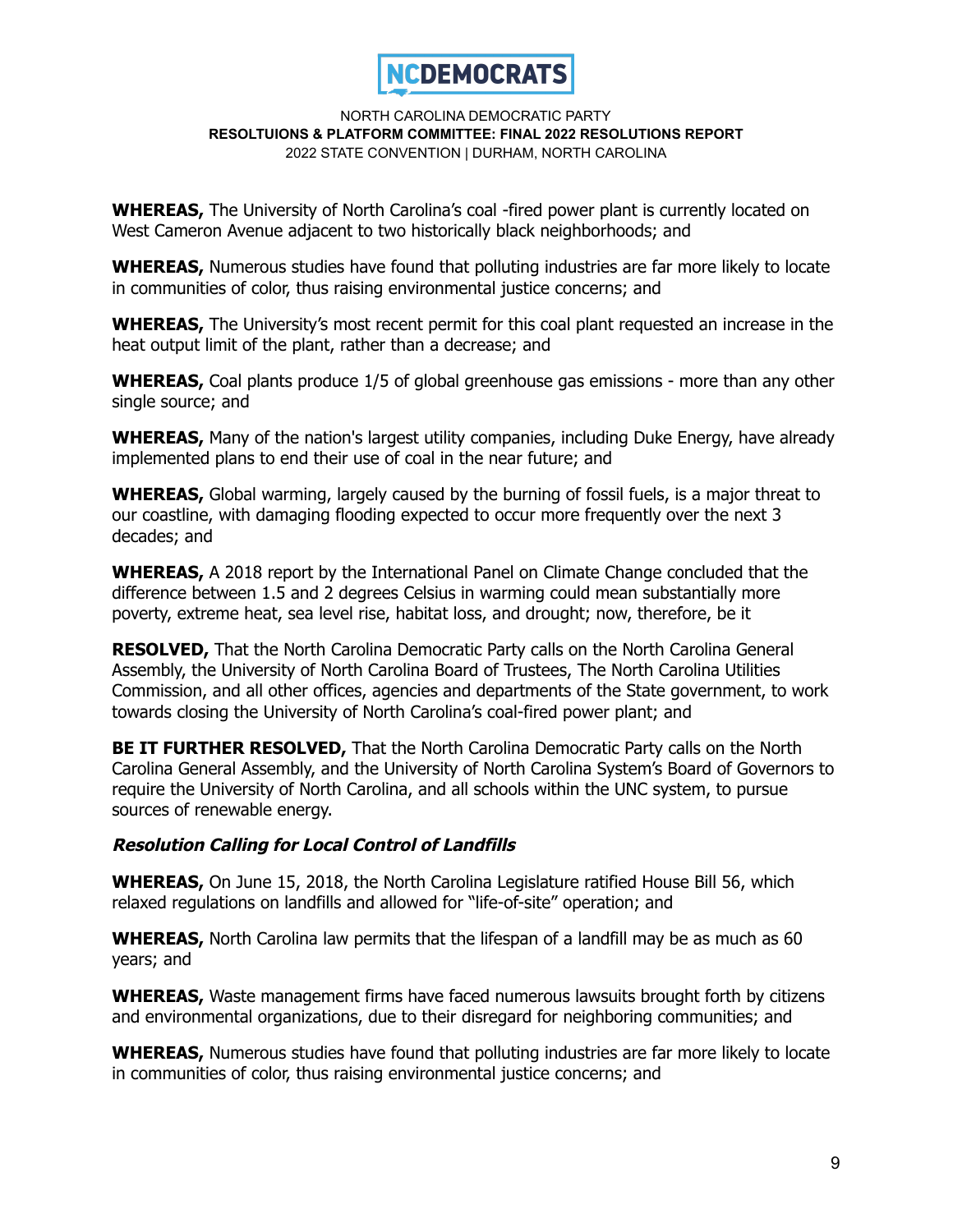

**WHEREAS,** The University of North Carolina's coal -fired power plant is currently located on West Cameron Avenue adjacent to two historically black neighborhoods; and

**WHEREAS,** Numerous studies have found that polluting industries are far more likely to locate in communities of color, thus raising environmental justice concerns; and

**WHEREAS,** The University's most recent permit for this coal plant requested an increase in the heat output limit of the plant, rather than a decrease; and

**WHEREAS,** Coal plants produce 1/5 of global greenhouse gas emissions - more than any other single source; and

**WHEREAS,** Many of the nation's largest utility companies, including Duke Energy, have already implemented plans to end their use of coal in the near future; and

**WHEREAS,** Global warming, largely caused by the burning of fossil fuels, is a major threat to our coastline, with damaging flooding expected to occur more frequently over the next 3 decades; and

**WHEREAS,** A 2018 report by the International Panel on Climate Change concluded that the difference between 1.5 and 2 degrees Celsius in warming could mean substantially more poverty, extreme heat, sea level rise, habitat loss, and drought; now, therefore, be it

**RESOLVED,** That the North Carolina Democratic Party calls on the North Carolina General Assembly, the University of North Carolina Board of Trustees, The North Carolina Utilities Commission, and all other offices, agencies and departments of the State government, to work towards closing the University of North Carolina's coal-fired power plant; and

**BE IT FURTHER RESOLVED,** That the North Carolina Democratic Party calls on the North Carolina General Assembly, and the University of North Carolina System's Board of Governors to require the University of North Carolina, and all schools within the UNC system, to pursue sources of renewable energy.

### **Resolution Calling for Local Control of Landfills**

**WHEREAS,** On June 15, 2018, the North Carolina Legislature ratified House Bill 56, which relaxed regulations on landfills and allowed for "life-of-site" operation; and

**WHEREAS,** North Carolina law permits that the lifespan of a landfill may be as much as 60 years; and

**WHEREAS,** Waste management firms have faced numerous lawsuits brought forth by citizens and environmental organizations, due to their disregard for neighboring communities; and

**WHEREAS,** Numerous studies have found that polluting industries are far more likely to locate in communities of color, thus raising environmental justice concerns; and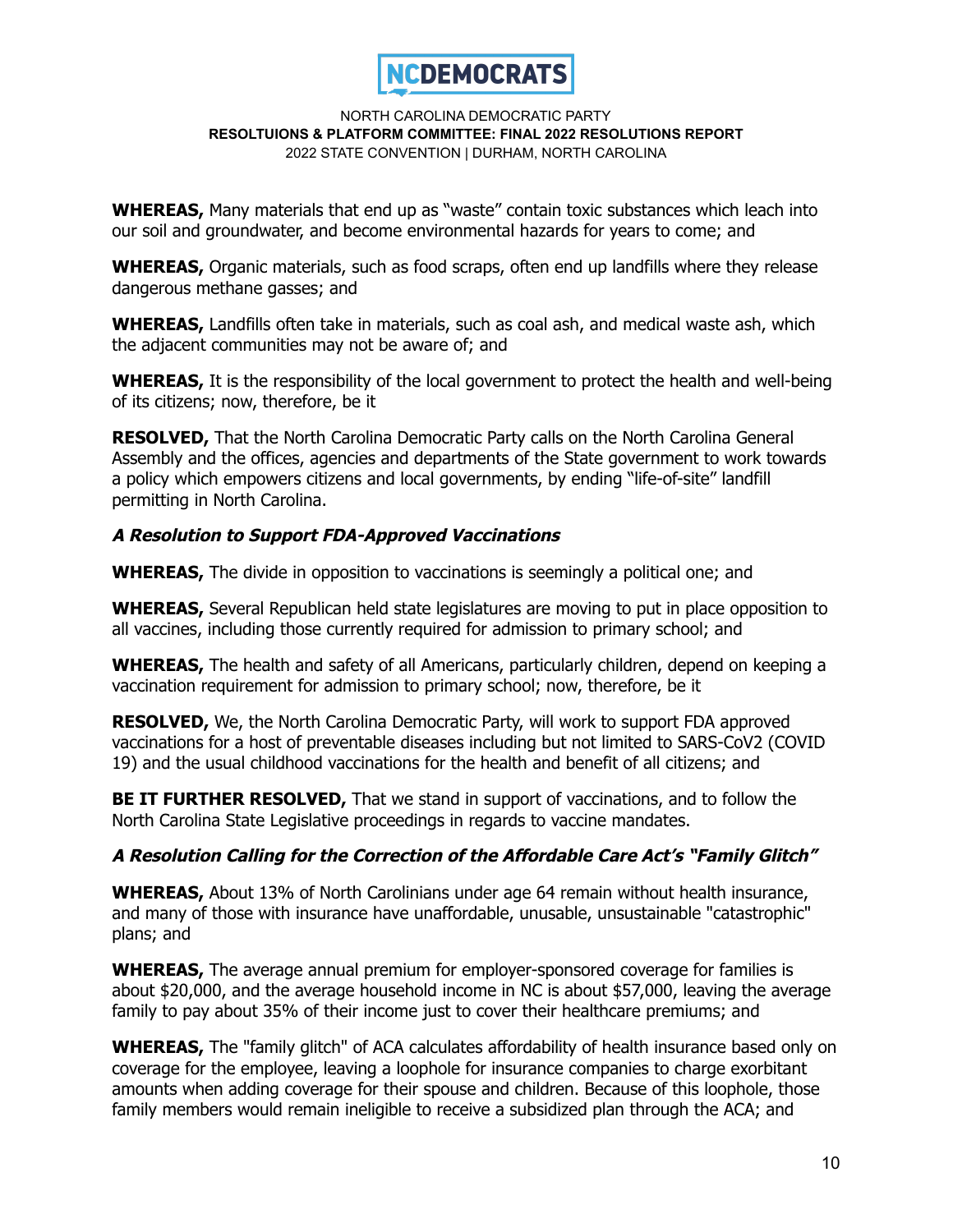

**WHEREAS,** Many materials that end up as "waste" contain toxic substances which leach into our soil and groundwater, and become environmental hazards for years to come; and

**WHEREAS,** Organic materials, such as food scraps, often end up landfills where they release dangerous methane gasses; and

**WHEREAS,** Landfills often take in materials, such as coal ash, and medical waste ash, which the adjacent communities may not be aware of; and

**WHEREAS,** It is the responsibility of the local government to protect the health and well-being of its citizens; now, therefore, be it

**RESOLVED,** That the North Carolina Democratic Party calls on the North Carolina General Assembly and the offices, agencies and departments of the State government to work towards a policy which empowers citizens and local governments, by ending "life-of-site" landfill permitting in North Carolina.

## **A Resolution to Support FDA-Approved Vaccinations**

**WHEREAS,** The divide in opposition to vaccinations is seemingly a political one; and

**WHEREAS,** Several Republican held state legislatures are moving to put in place opposition to all vaccines, including those currently required for admission to primary school; and

**WHEREAS,** The health and safety of all Americans, particularly children, depend on keeping a vaccination requirement for admission to primary school; now, therefore, be it

**RESOLVED,** We, the North Carolina Democratic Party, will work to support FDA approved vaccinations for a host of preventable diseases including but not limited to SARS-CoV2 (COVID 19) and the usual childhood vaccinations for the health and benefit of all citizens; and

**BE IT FURTHER RESOLVED,** That we stand in support of vaccinations, and to follow the North Carolina State Legislative proceedings in regards to vaccine mandates.

# **A Resolution Calling for the Correction of the Affordable Care Act's "Family Glitch"**

**WHEREAS,** About 13% of North Carolinians under age 64 remain without health insurance, and many of those with insurance have unaffordable, unusable, unsustainable "catastrophic" plans; and

**WHEREAS,** The average annual premium for employer-sponsored coverage for families is about \$20,000, and the average household income in NC is about \$57,000, leaving the average family to pay about 35% of their income just to cover their healthcare premiums; and

**WHEREAS,** The "family glitch" of ACA calculates affordability of health insurance based only on coverage for the employee, leaving a loophole for insurance companies to charge exorbitant amounts when adding coverage for their spouse and children. Because of this loophole, those family members would remain ineligible to receive a subsidized plan through the ACA; and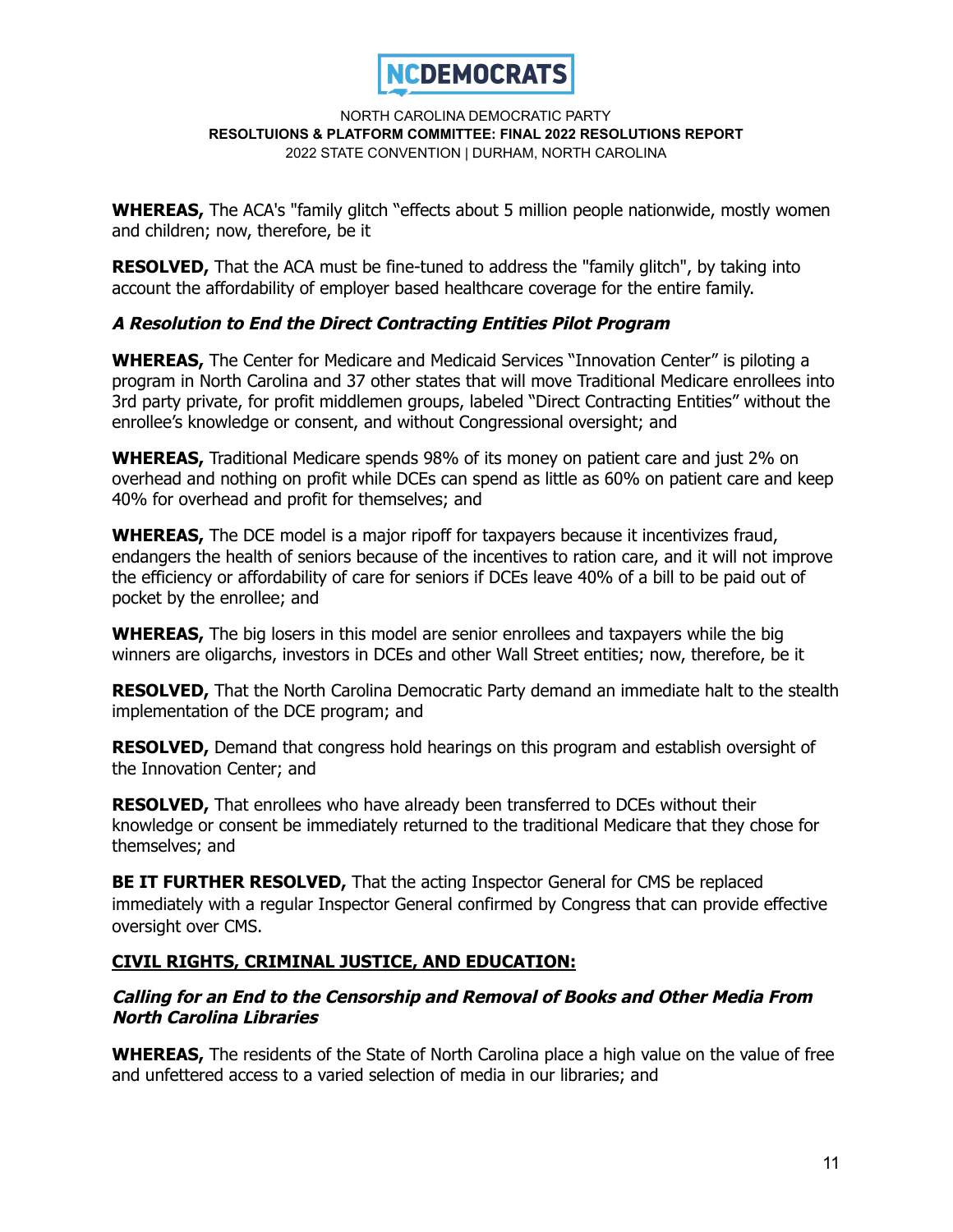

**WHEREAS,** The ACA's "family glitch "effects about 5 million people nationwide, mostly women and children; now, therefore, be it

**RESOLVED.** That the ACA must be fine-tuned to address the "family glitch", by taking into account the affordability of employer based healthcare coverage for the entire family.

# **A Resolution to End the Direct Contracting Entities Pilot Program**

**WHEREAS,** The Center for Medicare and Medicaid Services "Innovation Center" is piloting a program in North Carolina and 37 other states that will move Traditional Medicare enrollees into 3rd party private, for profit middlemen groups, labeled "Direct Contracting Entities" without the enrollee's knowledge or consent, and without Congressional oversight; and

**WHEREAS,** Traditional Medicare spends 98% of its money on patient care and just 2% on overhead and nothing on profit while DCEs can spend as little as 60% on patient care and keep 40% for overhead and profit for themselves; and

**WHEREAS,** The DCE model is a major ripoff for taxpayers because it incentivizes fraud, endangers the health of seniors because of the incentives to ration care, and it will not improve the efficiency or affordability of care for seniors if DCEs leave 40% of a bill to be paid out of pocket by the enrollee; and

**WHEREAS,** The big losers in this model are senior enrollees and taxpayers while the big winners are oligarchs, investors in DCEs and other Wall Street entities; now, therefore, be it

**RESOLVED,** That the North Carolina Democratic Party demand an immediate halt to the stealth implementation of the DCE program; and

**RESOLVED,** Demand that congress hold hearings on this program and establish oversight of the Innovation Center; and

**RESOLVED,** That enrollees who have already been transferred to DCEs without their knowledge or consent be immediately returned to the traditional Medicare that they chose for themselves; and

**BE IT FURTHER RESOLVED,** That the acting Inspector General for CMS be replaced immediately with a regular Inspector General confirmed by Congress that can provide effective oversight over CMS.

# **CIVIL RIGHTS, CRIMINAL JUSTICE, AND EDUCATION:**

## **Calling for an End to the Censorship and Removal of Books and Other Media From North Carolina Libraries**

**WHEREAS,** The residents of the State of North Carolina place a high value on the value of free and unfettered access to a varied selection of media in our libraries; and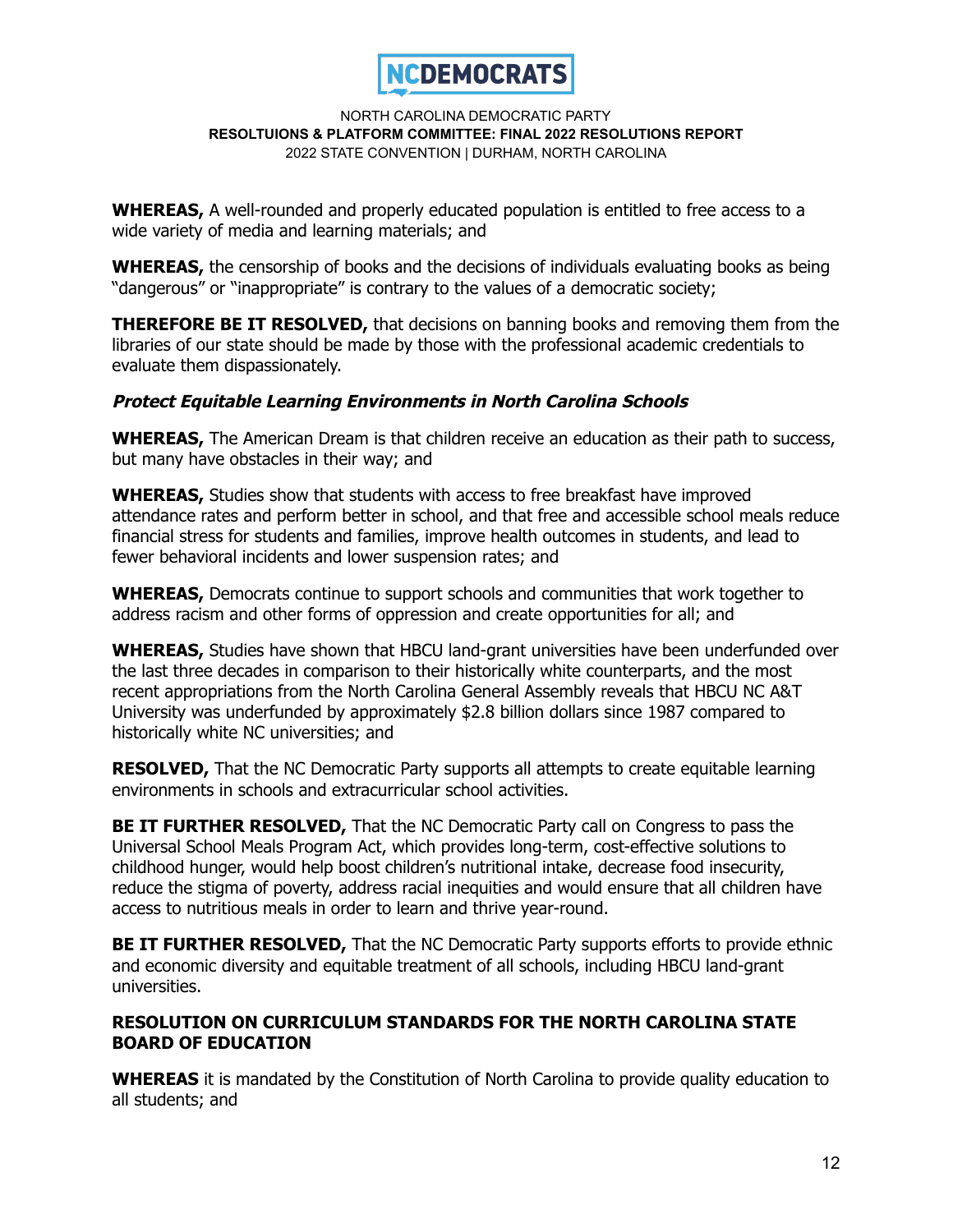

**WHEREAS,** A well-rounded and properly educated population is entitled to free access to a wide variety of media and learning materials; and

**WHEREAS,** the censorship of books and the decisions of individuals evaluating books as being "dangerous" or "inappropriate" is contrary to the values of a democratic society;

**THEREFORE BE IT RESOLVED,** that decisions on banning books and removing them from the libraries of our state should be made by those with the professional academic credentials to evaluate them dispassionately.

## **Protect Equitable Learning Environments in North Carolina Schools**

**WHEREAS,** The American Dream is that children receive an education as their path to success, but many have obstacles in their way; and

**WHEREAS,** Studies show that students with access to free breakfast have improved attendance rates and perform better in school, and that free and accessible school meals reduce financial stress for students and families, improve health outcomes in students, and lead to fewer behavioral incidents and lower suspension rates; and

**WHEREAS,** Democrats continue to support schools and communities that work together to address racism and other forms of oppression and create opportunities for all; and

**WHEREAS,** Studies have shown that HBCU land-grant universities have been underfunded over the last three decades in comparison to their historically white counterparts, and the most recent appropriations from the North Carolina General Assembly reveals that HBCU NC A&T University was underfunded by approximately \$2.8 billion dollars since 1987 compared to historically white NC universities; and

**RESOLVED,** That the NC Democratic Party supports all attempts to create equitable learning environments in schools and extracurricular school activities.

**BE IT FURTHER RESOLVED,** That the NC Democratic Party call on Congress to pass the Universal School Meals Program Act, which provides long-term, cost-effective solutions to childhood hunger, would help boost children's nutritional intake, decrease food insecurity, reduce the stigma of poverty, address racial inequities and would ensure that all children have access to nutritious meals in order to learn and thrive year-round.

**BE IT FURTHER RESOLVED,** That the NC Democratic Party supports efforts to provide ethnic and economic diversity and equitable treatment of all schools, including HBCU land-grant universities.

## **RESOLUTION ON CURRICULUM STANDARDS FOR THE NORTH CAROLINA STATE BOARD OF EDUCATION**

**WHEREAS** it is mandated by the Constitution of North Carolina to provide quality education to all students; and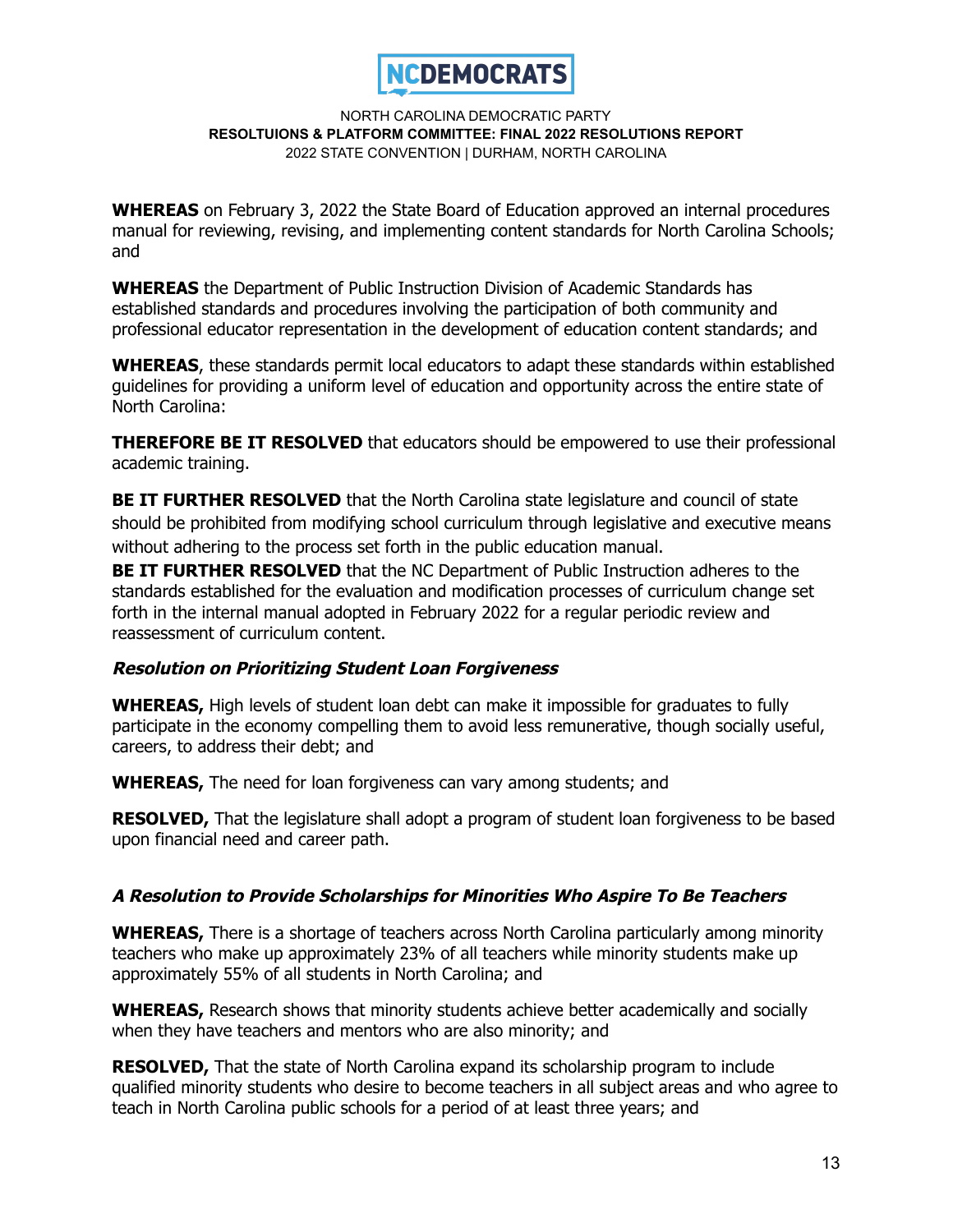

**WHEREAS** on February 3, 2022 the State Board of Education approved an internal procedures manual for reviewing, revising, and implementing content standards for North Carolina Schools; and

**WHEREAS** the Department of Public Instruction Division of Academic Standards has established standards and procedures involving the participation of both community and professional educator representation in the development of education content standards; and

**WHEREAS**, these standards permit local educators to adapt these standards within established guidelines for providing a uniform level of education and opportunity across the entire state of North Carolina:

**THEREFORE BE IT RESOLVED** that educators should be empowered to use their professional academic training.

**BE IT FURTHER RESOLVED** that the North Carolina state legislature and council of state should be prohibited from modifying school curriculum through legislative and executive means without adhering to the process set forth in the public education manual.

**BE IT FURTHER RESOLVED** that the NC Department of Public Instruction adheres to the standards established for the evaluation and modification processes of curriculum change set forth in the internal manual adopted in February 2022 for a regular periodic review and reassessment of curriculum content.

# **Resolution on Prioritizing Student Loan Forgiveness**

**WHEREAS,** High levels of student loan debt can make it impossible for graduates to fully participate in the economy compelling them to avoid less remunerative, though socially useful, careers, to address their debt; and

**WHEREAS,** The need for loan forgiveness can vary among students; and

**RESOLVED,** That the legislature shall adopt a program of student loan forgiveness to be based upon financial need and career path.

### **A Resolution to Provide Scholarships for Minorities Who Aspire To Be Teachers**

**WHEREAS,** There is a shortage of teachers across North Carolina particularly among minority teachers who make up approximately 23% of all teachers while minority students make up approximately 55% of all students in North Carolina; and

**WHEREAS,** Research shows that minority students achieve better academically and socially when they have teachers and mentors who are also minority; and

**RESOLVED,** That the state of North Carolina expand its scholarship program to include qualified minority students who desire to become teachers in all subject areas and who agree to teach in North Carolina public schools for a period of at least three years; and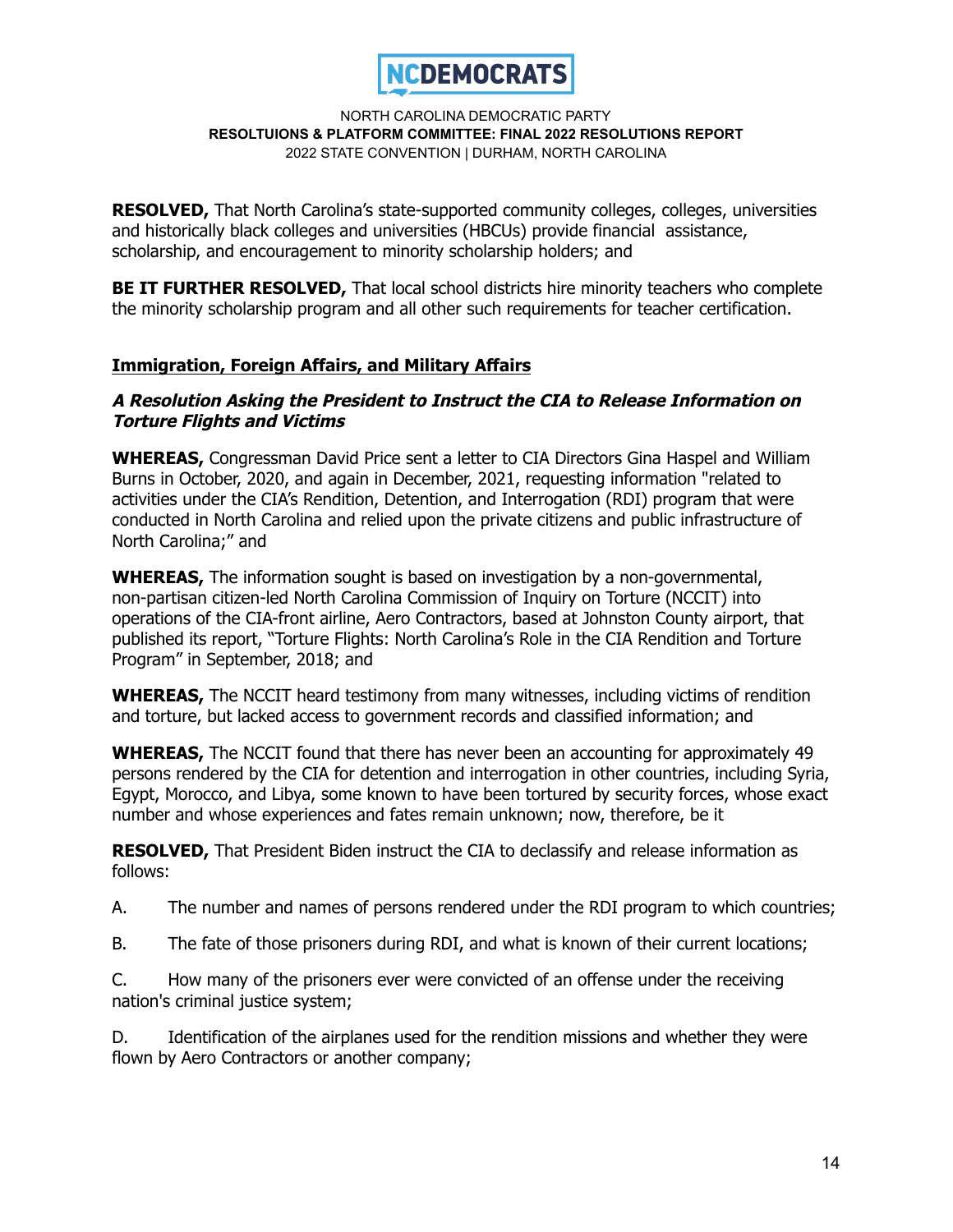

**RESOLVED,** That North Carolina's state-supported community colleges, colleges, universities and historically black colleges and universities (HBCUs) provide financial assistance, scholarship, and encouragement to minority scholarship holders; and

**BE IT FURTHER RESOLVED,** That local school districts hire minority teachers who complete the minority scholarship program and all other such requirements for teacher certification.

# **Immigration, Foreign Affairs, and Military Affairs**

## **A Resolution Asking the President to Instruct the CIA to Release Information on Torture Flights and Victims**

**WHEREAS,** Congressman David Price sent a letter to CIA Directors Gina Haspel and William Burns in October, 2020, and again in December, 2021, requesting information "related to activities under the CIA's Rendition, Detention, and Interrogation (RDI) program that were conducted in North Carolina and relied upon the private citizens and public infrastructure of North Carolina;" and

**WHEREAS,** The information sought is based on investigation by a non-governmental, non-partisan citizen-led North Carolina Commission of Inquiry on Torture (NCCIT) into operations of the CIA-front airline, Aero Contractors, based at Johnston County airport, that published its report, "Torture Flights: North Carolina's Role in the CIA Rendition and Torture Program" in September, 2018; and

**WHEREAS,** The NCCIT heard testimony from many witnesses, including victims of rendition and torture, but lacked access to government records and classified information; and

**WHEREAS,** The NCCIT found that there has never been an accounting for approximately 49 persons rendered by the CIA for detention and interrogation in other countries, including Syria, Egypt, Morocco, and Libya, some known to have been tortured by security forces, whose exact number and whose experiences and fates remain unknown; now, therefore, be it

**RESOLVED,** That President Biden instruct the CIA to declassify and release information as follows:

- A. The number and names of persons rendered under the RDI program to which countries;
- B. The fate of those prisoners during RDI, and what is known of their current locations;

C. How many of the prisoners ever were convicted of an offense under the receiving nation's criminal justice system;

D. Identification of the airplanes used for the rendition missions and whether they were flown by Aero Contractors or another company;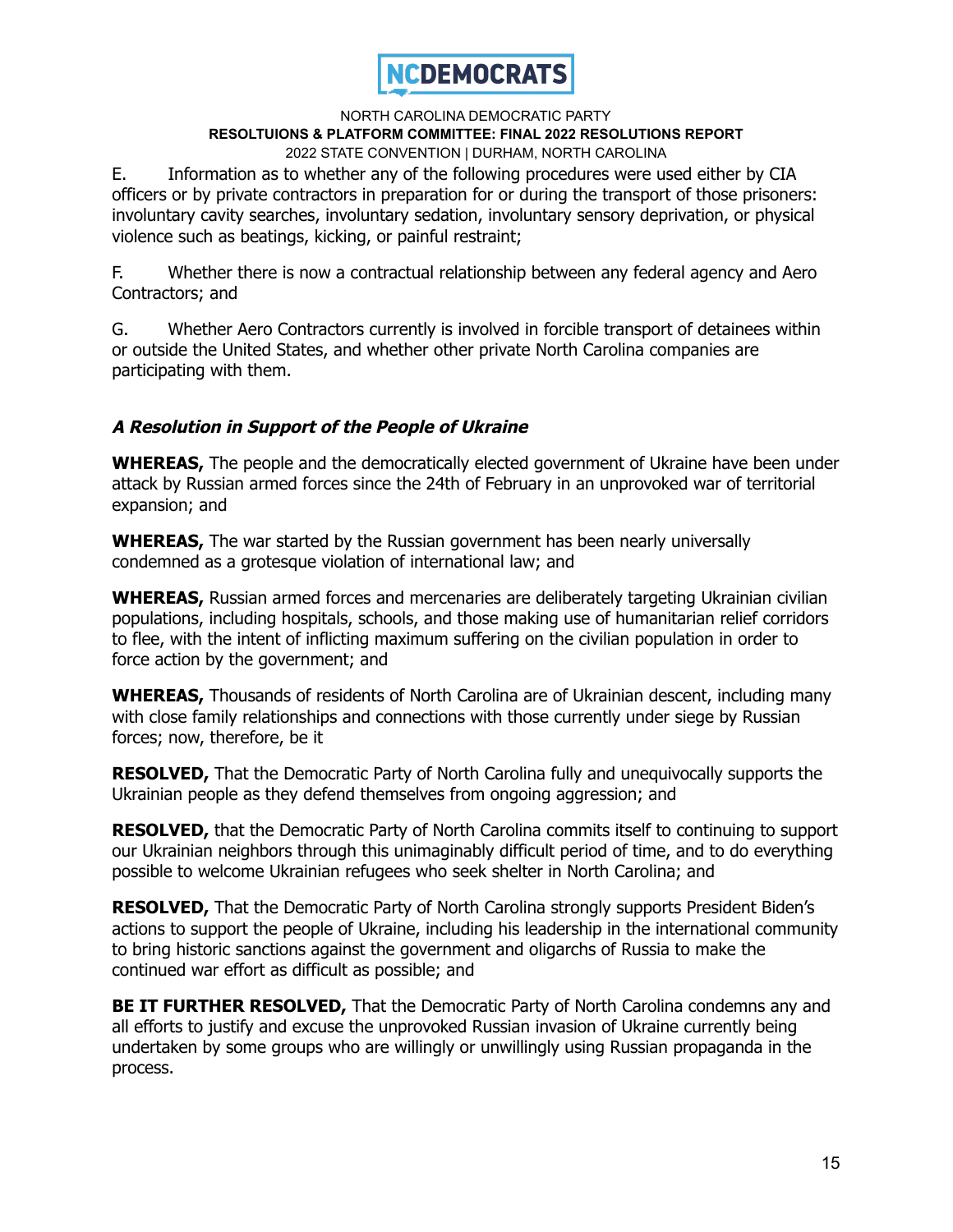

E. Information as to whether any of the following procedures were used either by CIA officers or by private contractors in preparation for or during the transport of those prisoners: involuntary cavity searches, involuntary sedation, involuntary sensory deprivation, or physical violence such as beatings, kicking, or painful restraint;

F. Whether there is now a contractual relationship between any federal agency and Aero Contractors; and

G. Whether Aero Contractors currently is involved in forcible transport of detainees within or outside the United States, and whether other private North Carolina companies are participating with them.

# **A Resolution in Support of the People of Ukraine**

**WHEREAS,** The people and the democratically elected government of Ukraine have been under attack by Russian armed forces since the 24th of February in an unprovoked war of territorial expansion; and

**WHEREAS,** The war started by the Russian government has been nearly universally condemned as a grotesque violation of international law; and

**WHEREAS,** Russian armed forces and mercenaries are deliberately targeting Ukrainian civilian populations, including hospitals, schools, and those making use of humanitarian relief corridors to flee, with the intent of inflicting maximum suffering on the civilian population in order to force action by the government; and

**WHEREAS,** Thousands of residents of North Carolina are of Ukrainian descent, including many with close family relationships and connections with those currently under siege by Russian forces; now, therefore, be it

**RESOLVED,** That the Democratic Party of North Carolina fully and unequivocally supports the Ukrainian people as they defend themselves from ongoing aggression; and

**RESOLVED,** that the Democratic Party of North Carolina commits itself to continuing to support our Ukrainian neighbors through this unimaginably difficult period of time, and to do everything possible to welcome Ukrainian refugees who seek shelter in North Carolina; and

**RESOLVED,** That the Democratic Party of North Carolina strongly supports President Biden's actions to support the people of Ukraine, including his leadership in the international community to bring historic sanctions against the government and oligarchs of Russia to make the continued war effort as difficult as possible; and

**BE IT FURTHER RESOLVED,** That the Democratic Party of North Carolina condemns any and all efforts to justify and excuse the unprovoked Russian invasion of Ukraine currently being undertaken by some groups who are willingly or unwillingly using Russian propaganda in the process.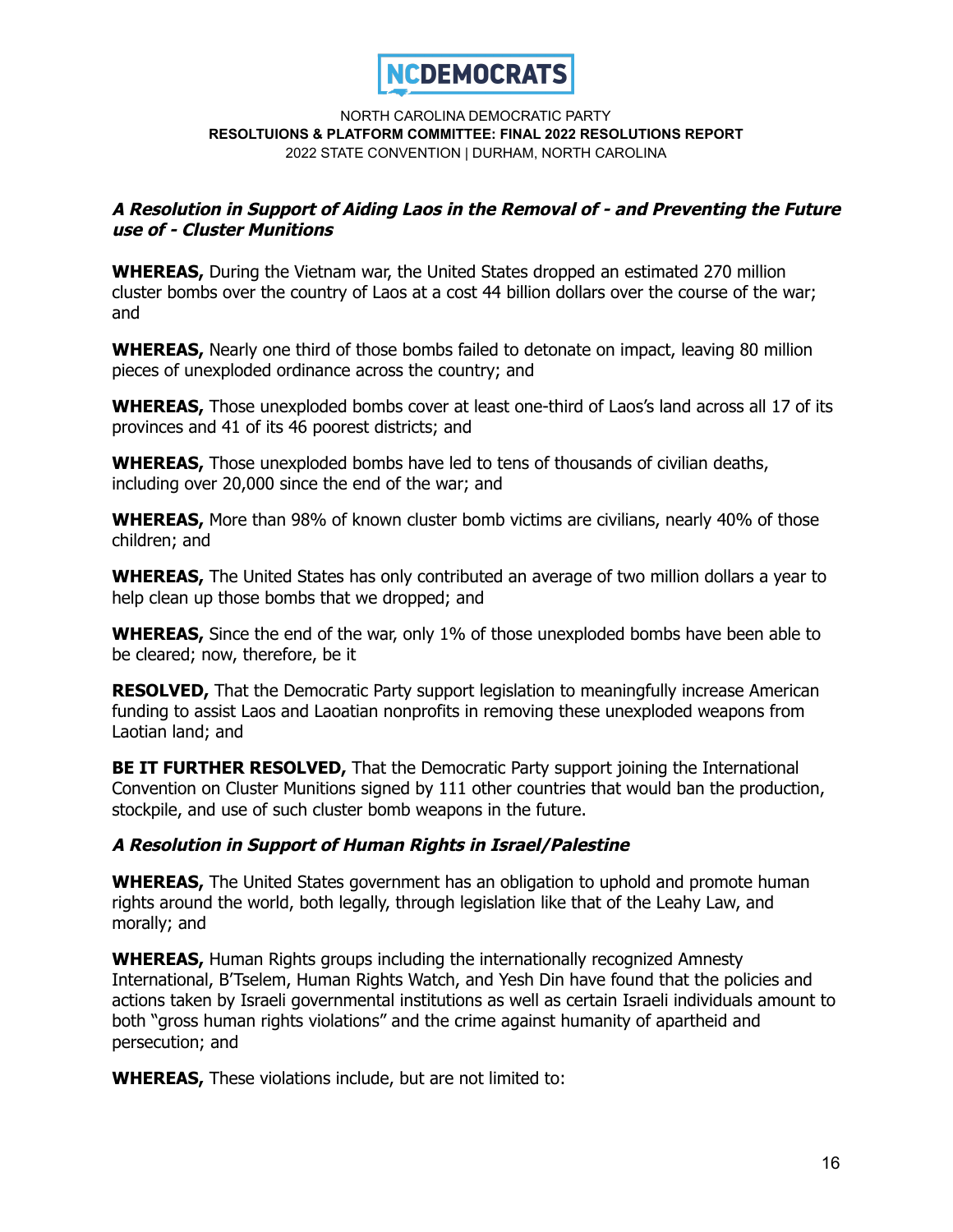

## **A Resolution in Support of Aiding Laos in the Removal of - and Preventing the Future use of - Cluster Munitions**

**WHEREAS,** During the Vietnam war, the United States dropped an estimated 270 million cluster bombs over the country of Laos at a cost 44 billion dollars over the course of the war; and

**WHEREAS,** Nearly one third of those bombs failed to detonate on impact, leaving 80 million pieces of unexploded ordinance across the country; and

**WHEREAS,** Those unexploded bombs cover at least one-third of Laos's land across all 17 of its provinces and 41 of its 46 poorest districts; and

**WHEREAS,** Those unexploded bombs have led to tens of thousands of civilian deaths, including over 20,000 since the end of the war; and

**WHEREAS,** More than 98% of known cluster bomb victims are civilians, nearly 40% of those children; and

**WHEREAS,** The United States has only contributed an average of two million dollars a year to help clean up those bombs that we dropped; and

**WHEREAS,** Since the end of the war, only 1% of those unexploded bombs have been able to be cleared; now, therefore, be it

**RESOLVED,** That the Democratic Party support legislation to meaningfully increase American funding to assist Laos and Laoatian nonprofits in removing these unexploded weapons from Laotian land; and

**BE IT FURTHER RESOLVED,** That the Democratic Party support joining the International Convention on Cluster Munitions signed by 111 other countries that would ban the production, stockpile, and use of such cluster bomb weapons in the future.

### **A Resolution in Support of Human Rights in Israel/Palestine**

**WHEREAS,** The United States government has an obligation to uphold and promote human rights around the world, both legally, through legislation like that of the Leahy Law, and morally; and

**WHEREAS,** Human Rights groups including the internationally recognized Amnesty International, B'Tselem, Human Rights Watch, and Yesh Din have found that the policies and actions taken by Israeli governmental institutions as well as certain Israeli individuals amount to both "gross human rights violations" and the crime against humanity of apartheid and persecution; and

**WHEREAS,** These violations include, but are not limited to: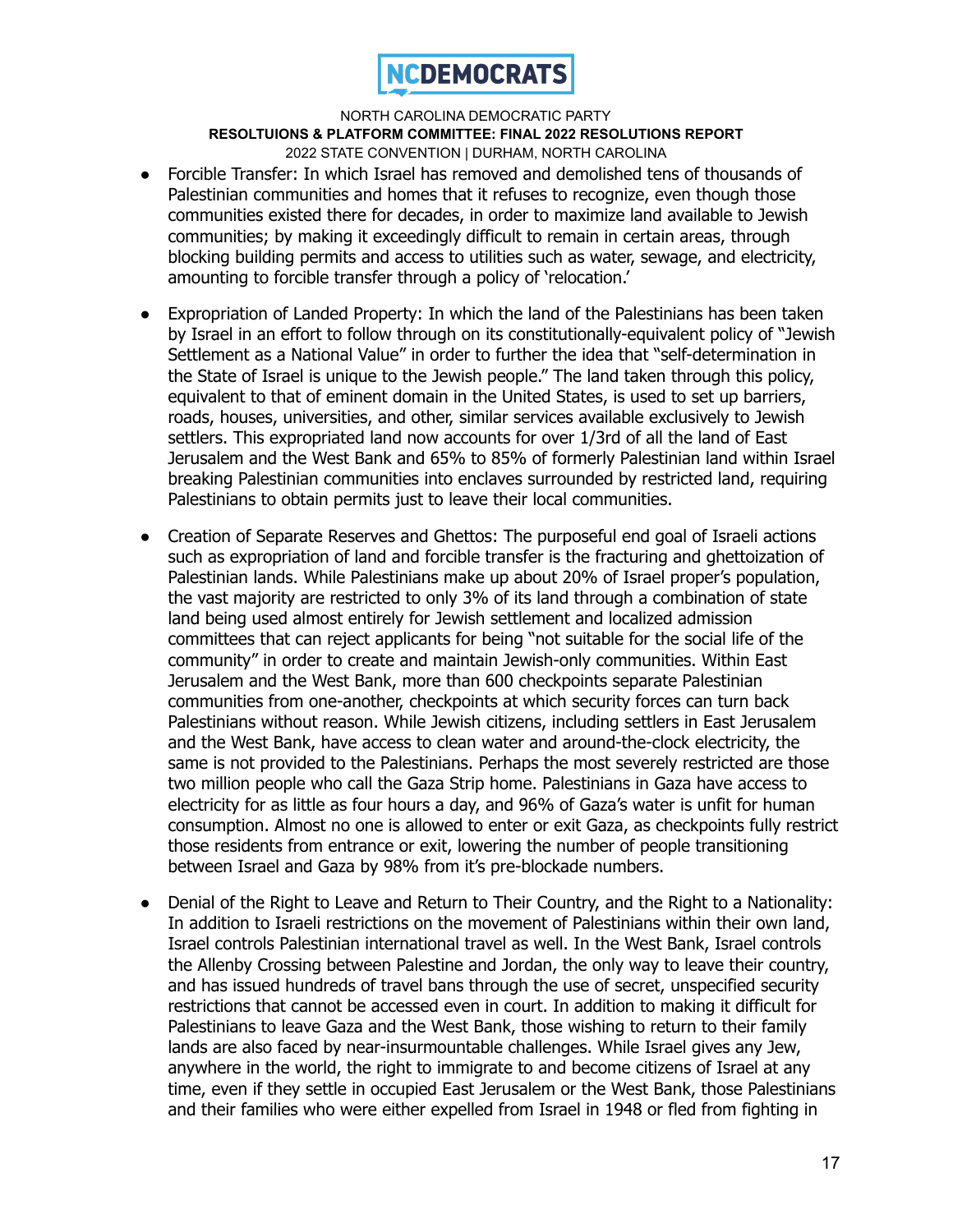

- Forcible Transfer: In which Israel has removed and demolished tens of thousands of Palestinian communities and homes that it refuses to recognize, even though those communities existed there for decades, in order to maximize land available to Jewish communities; by making it exceedingly difficult to remain in certain areas, through blocking building permits and access to utilities such as water, sewage, and electricity, amounting to forcible transfer through a policy of 'relocation.'
- Expropriation of Landed Property: In which the land of the Palestinians has been taken by Israel in an effort to follow through on its constitutionally-equivalent policy of "Jewish Settlement as a National Value" in order to further the idea that "self-determination in the State of Israel is unique to the Jewish people." The land taken through this policy, equivalent to that of eminent domain in the United States, is used to set up barriers, roads, houses, universities, and other, similar services available exclusively to Jewish settlers. This expropriated land now accounts for over 1/3rd of all the land of East Jerusalem and the West Bank and 65% to 85% of formerly Palestinian land within Israel breaking Palestinian communities into enclaves surrounded by restricted land, requiring Palestinians to obtain permits just to leave their local communities.
- Creation of Separate Reserves and Ghettos: The purposeful end goal of Israeli actions such as expropriation of land and forcible transfer is the fracturing and ghettoization of Palestinian lands. While Palestinians make up about 20% of Israel proper's population, the vast majority are restricted to only 3% of its land through a combination of state land being used almost entirely for Jewish settlement and localized admission committees that can reject applicants for being "not suitable for the social life of the community" in order to create and maintain Jewish-only communities. Within East Jerusalem and the West Bank, more than 600 checkpoints separate Palestinian communities from one-another, checkpoints at which security forces can turn back Palestinians without reason. While Jewish citizens, including settlers in East Jerusalem and the West Bank, have access to clean water and around-the-clock electricity, the same is not provided to the Palestinians. Perhaps the most severely restricted are those two million people who call the Gaza Strip home. Palestinians in Gaza have access to electricity for as little as four hours a day, and 96% of Gaza's water is unfit for human consumption. Almost no one is allowed to enter or exit Gaza, as checkpoints fully restrict those residents from entrance or exit, lowering the number of people transitioning between Israel and Gaza by 98% from it's pre-blockade numbers.
- Denial of the Right to Leave and Return to Their Country, and the Right to a Nationality: In addition to Israeli restrictions on the movement of Palestinians within their own land, Israel controls Palestinian international travel as well. In the West Bank, Israel controls the Allenby Crossing between Palestine and Jordan, the only way to leave their country, and has issued hundreds of travel bans through the use of secret, unspecified security restrictions that cannot be accessed even in court. In addition to making it difficult for Palestinians to leave Gaza and the West Bank, those wishing to return to their family lands are also faced by near-insurmountable challenges. While Israel gives any Jew, anywhere in the world, the right to immigrate to and become citizens of Israel at any time, even if they settle in occupied East Jerusalem or the West Bank, those Palestinians and their families who were either expelled from Israel in 1948 or fled from fighting in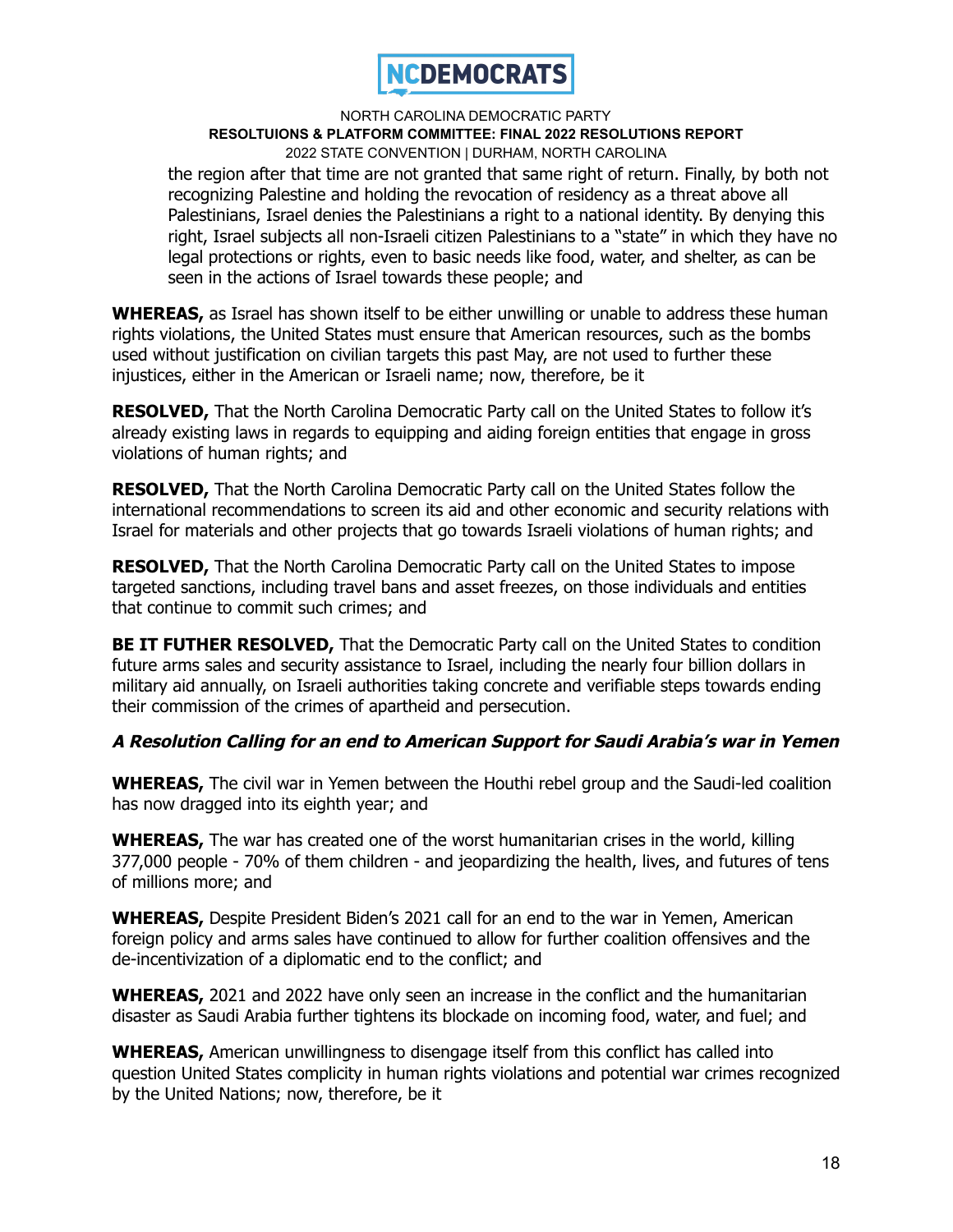

the region after that time are not granted that same right of return. Finally, by both not recognizing Palestine and holding the revocation of residency as a threat above all Palestinians, Israel denies the Palestinians a right to a national identity. By denying this right, Israel subjects all non-Israeli citizen Palestinians to a "state" in which they have no legal protections or rights, even to basic needs like food, water, and shelter, as can be seen in the actions of Israel towards these people; and

**WHEREAS,** as Israel has shown itself to be either unwilling or unable to address these human rights violations, the United States must ensure that American resources, such as the bombs used without justification on civilian targets this past May, are not used to further these injustices, either in the American or Israeli name; now, therefore, be it

**RESOLVED,** That the North Carolina Democratic Party call on the United States to follow it's already existing laws in regards to equipping and aiding foreign entities that engage in gross violations of human rights; and

**RESOLVED,** That the North Carolina Democratic Party call on the United States follow the international recommendations to screen its aid and other economic and security relations with Israel for materials and other projects that go towards Israeli violations of human rights; and

**RESOLVED,** That the North Carolina Democratic Party call on the United States to impose targeted sanctions, including travel bans and asset freezes, on those individuals and entities that continue to commit such crimes; and

**BE IT FUTHER RESOLVED,** That the Democratic Party call on the United States to condition future arms sales and security assistance to Israel, including the nearly four billion dollars in military aid annually, on Israeli authorities taking concrete and verifiable steps towards ending their commission of the crimes of apartheid and persecution.

# **A Resolution Calling for an end to American Support for Saudi Arabia's war in Yemen**

**WHEREAS,** The civil war in Yemen between the Houthi rebel group and the Saudi-led coalition has now dragged into its eighth year; and

**WHEREAS,** The war has created one of the worst humanitarian crises in the world, killing 377,000 people - 70% of them children - and jeopardizing the health, lives, and futures of tens of millions more; and

**WHEREAS,** Despite President Biden's 2021 call for an end to the war in Yemen, American foreign policy and arms sales have continued to allow for further coalition offensives and the de-incentivization of a diplomatic end to the conflict; and

**WHEREAS,** 2021 and 2022 have only seen an increase in the conflict and the humanitarian disaster as Saudi Arabia further tightens its blockade on incoming food, water, and fuel; and

**WHEREAS,** American unwillingness to disengage itself from this conflict has called into question United States complicity in human rights violations and potential war crimes recognized by the United Nations; now, therefore, be it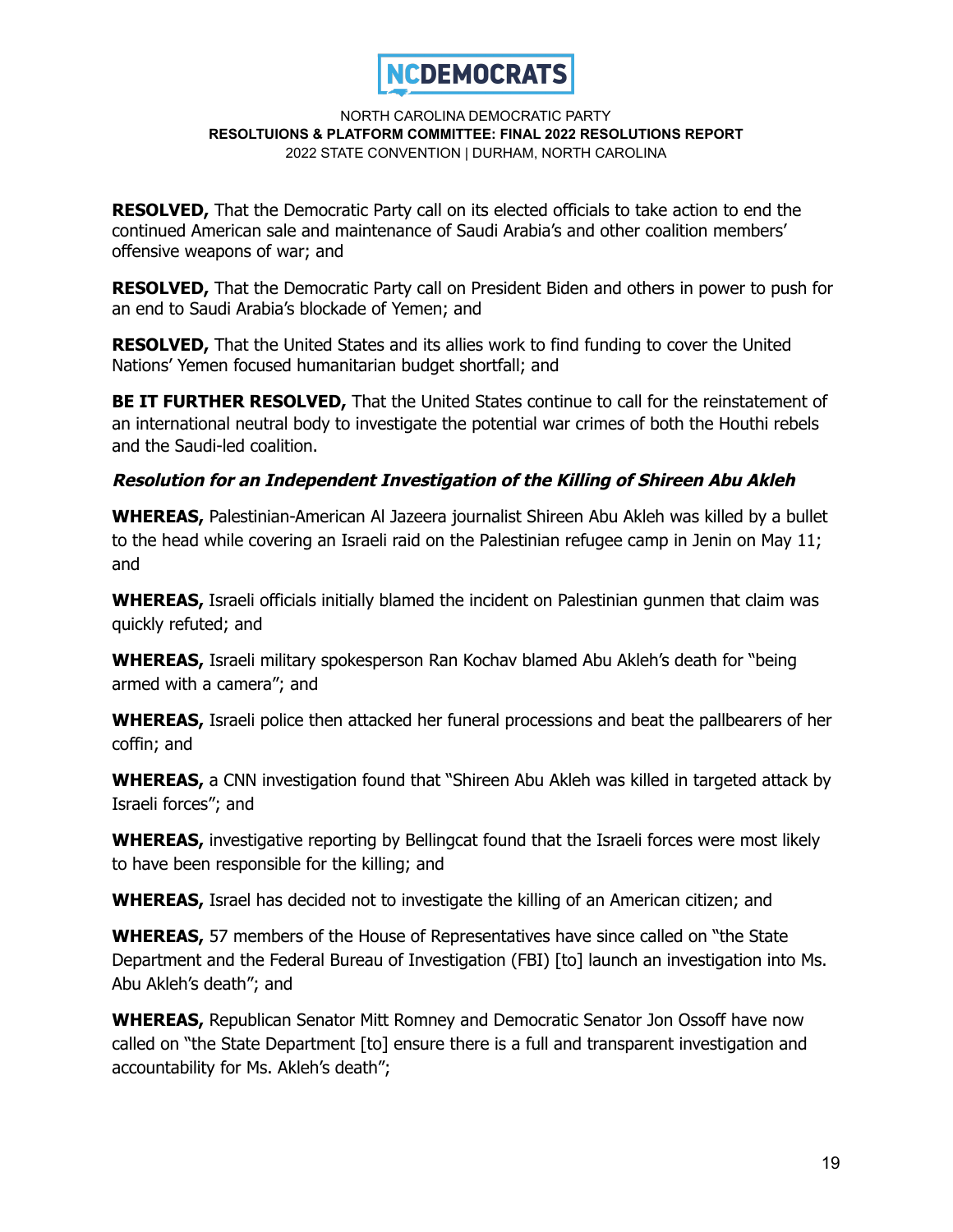

**RESOLVED,** That the Democratic Party call on its elected officials to take action to end the continued American sale and maintenance of Saudi Arabia's and other coalition members' offensive weapons of war; and

**RESOLVED,** That the Democratic Party call on President Biden and others in power to push for an end to Saudi Arabia's blockade of Yemen; and

**RESOLVED,** That the United States and its allies work to find funding to cover the United Nations' Yemen focused humanitarian budget shortfall; and

**BE IT FURTHER RESOLVED,** That the United States continue to call for the reinstatement of an international neutral body to investigate the potential war crimes of both the Houthi rebels and the Saudi-led coalition.

# **Resolution for an Independent Investigation of the Killing of Shireen Abu Akleh**

**WHEREAS,** Palestinian-American Al Jazeera journalist Shireen Abu Akleh was killed by a bullet to the head while covering an Israeli raid on the Palestinian refugee camp in Jenin on May 11; and

**WHEREAS,** Israeli officials initially blamed the incident on Palestinian gunmen that claim was quickly refuted; and

**WHEREAS,** Israeli military spokesperson Ran Kochav blamed Abu Akleh's death for "being armed with a camera"; and

**WHEREAS,** Israeli police then attacked her funeral processions and beat the pallbearers of her coffin; and

**WHEREAS,** a CNN investigation found that "Shireen Abu Akleh was killed in targeted attack by Israeli forces"; and

**WHEREAS,** investigative reporting by Bellingcat found that the Israeli forces were most likely to have been responsible for the killing; and

**WHEREAS,** Israel has decided not to investigate the killing of an American citizen; and

**WHEREAS,** 57 members of the House of Representatives have since called on "the State Department and the Federal Bureau of Investigation (FBI) [to] launch an investigation into Ms. Abu Akleh's death"; and

**WHEREAS,** Republican Senator Mitt Romney and Democratic Senator Jon Ossoff have now called on "the State Department [to] ensure there is a full and transparent investigation and accountability for Ms. Akleh's death";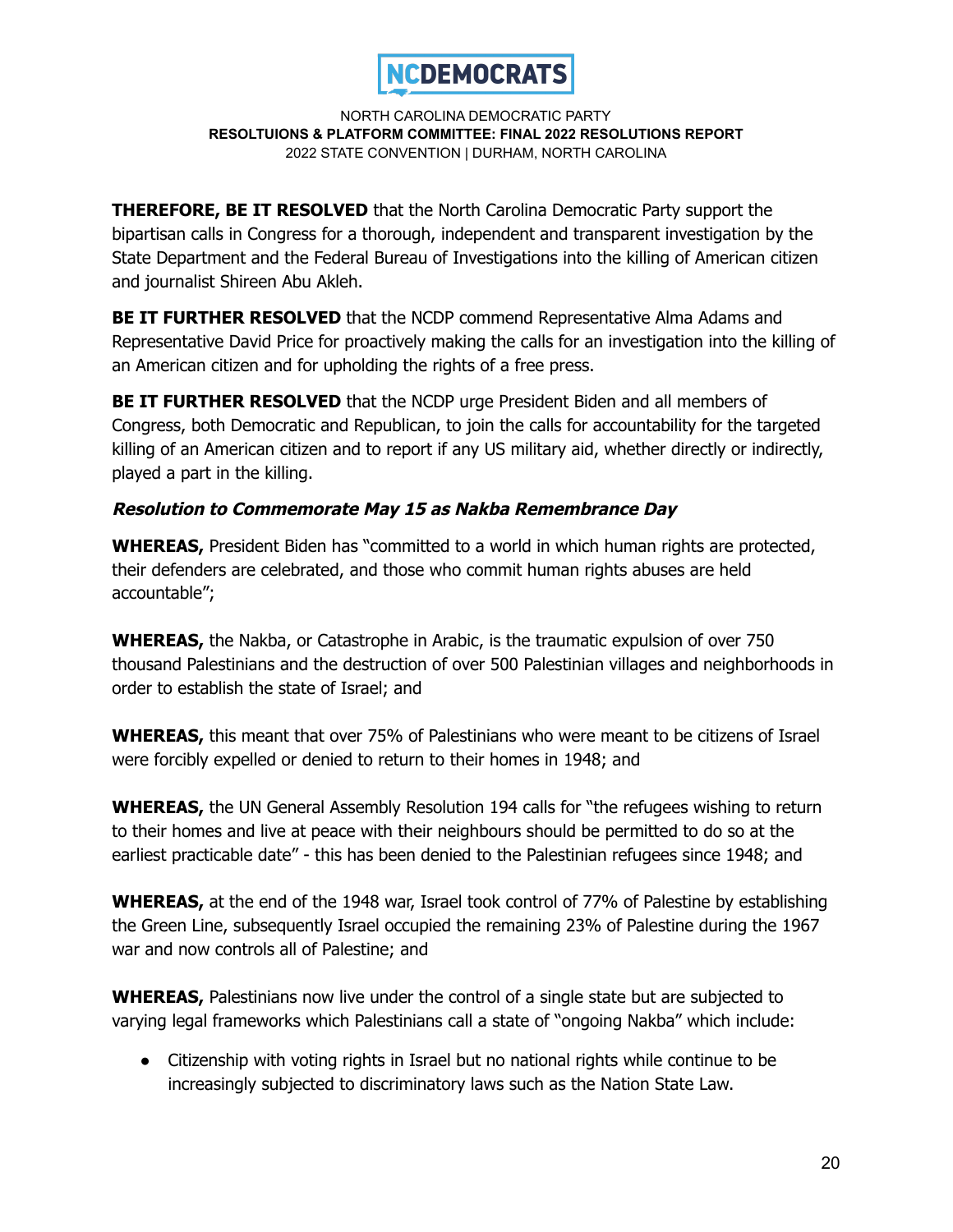

**THEREFORE, BE IT RESOLVED** that the North Carolina Democratic Party support the bipartisan calls in Congress for a thorough, independent and transparent investigation by the State Department and the Federal Bureau of Investigations into the killing of American citizen and journalist Shireen Abu Akleh.

**BE IT FURTHER RESOLVED** that the NCDP commend Representative Alma Adams and Representative David Price for proactively making the calls for an investigation into the killing of an American citizen and for upholding the rights of a free press.

**BE IT FURTHER RESOLVED** that the NCDP urge President Biden and all members of Congress, both Democratic and Republican, to join the calls for accountability for the targeted killing of an American citizen and to report if any US military aid, whether directly or indirectly, played a part in the killing.

# **Resolution to Commemorate May 15 as Nakba Remembrance Day**

**WHEREAS,** President Biden has "committed to a world in which human rights are protected, their defenders are celebrated, and those who commit human rights abuses are held accountable";

**WHEREAS,** the Nakba, or Catastrophe in Arabic, is the traumatic expulsion of over 750 thousand Palestinians and the destruction of over 500 Palestinian villages and neighborhoods in order to establish the state of Israel; and

**WHEREAS,** this meant that over 75% of Palestinians who were meant to be citizens of Israel were forcibly expelled or denied to return to their homes in 1948; and

**WHEREAS,** the UN General Assembly Resolution 194 calls for "the refugees wishing to return to their homes and live at peace with their neighbours should be permitted to do so at the earliest practicable date" - this has been denied to the Palestinian refugees since 1948; and

**WHEREAS,** at the end of the 1948 war, Israel took control of 77% of Palestine by establishing the Green Line, subsequently Israel occupied the remaining 23% of Palestine during the 1967 war and now controls all of Palestine; and

**WHEREAS,** Palestinians now live under the control of a single state but are subjected to varying legal frameworks which Palestinians call a state of "ongoing Nakba" which include:

● Citizenship with voting rights in Israel but no national rights while continue to be increasingly subjected to discriminatory laws such as the Nation State Law.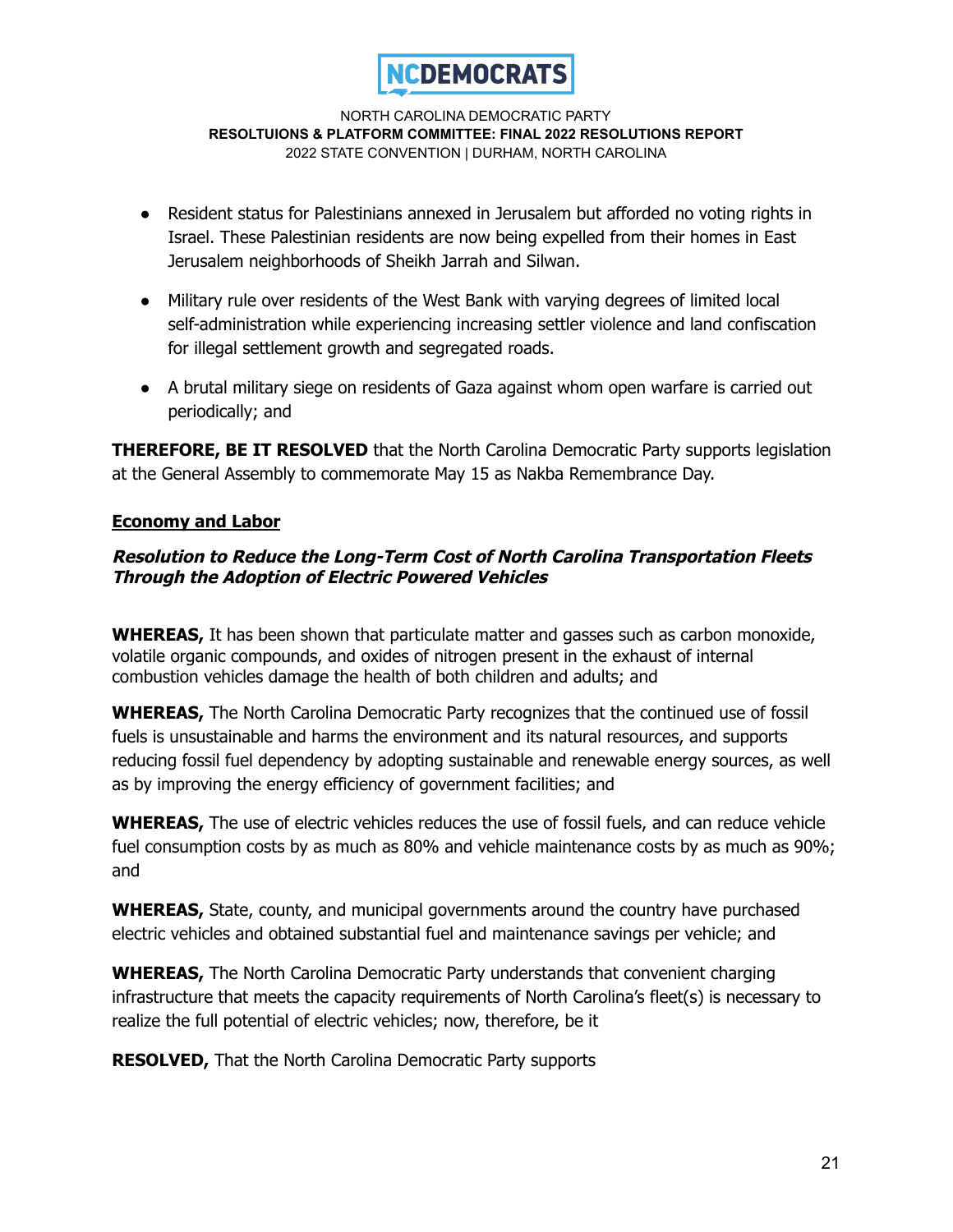

- Resident status for Palestinians annexed in Jerusalem but afforded no voting rights in Israel. These Palestinian residents are now being expelled from their homes in East Jerusalem neighborhoods of Sheikh Jarrah and Silwan.
- Military rule over residents of the West Bank with varying degrees of limited local self-administration while experiencing increasing settler violence and land confiscation for illegal settlement growth and segregated roads.
- A brutal military siege on residents of Gaza against whom open warfare is carried out periodically; and

**THEREFORE, BE IT RESOLVED** that the North Carolina Democratic Party supports legislation at the General Assembly to commemorate May 15 as Nakba Remembrance Day.

# **Economy and Labor**

# **Resolution to Reduce the Long-Term Cost of North Carolina Transportation Fleets Through the Adoption of Electric Powered Vehicles**

**WHEREAS,** It has been shown that particulate matter and gasses such as carbon monoxide, volatile organic compounds, and oxides of nitrogen present in the exhaust of internal combustion vehicles damage the health of both children and adults; and

**WHEREAS,** The North Carolina Democratic Party recognizes that the continued use of fossil fuels is unsustainable and harms the environment and its natural resources, and supports reducing fossil fuel dependency by adopting sustainable and renewable energy sources, as well as by improving the energy efficiency of government facilities; and

**WHEREAS,** The use of electric vehicles reduces the use of fossil fuels, and can reduce vehicle fuel consumption costs by as much as 80% and vehicle maintenance costs by as much as 90%; and

**WHEREAS,** State, county, and municipal governments around the country have purchased electric vehicles and obtained substantial fuel and maintenance savings per vehicle; and

**WHEREAS,** The North Carolina Democratic Party understands that convenient charging infrastructure that meets the capacity requirements of North Carolina's fleet(s) is necessary to realize the full potential of electric vehicles; now, therefore, be it

**RESOLVED,** That the North Carolina Democratic Party supports